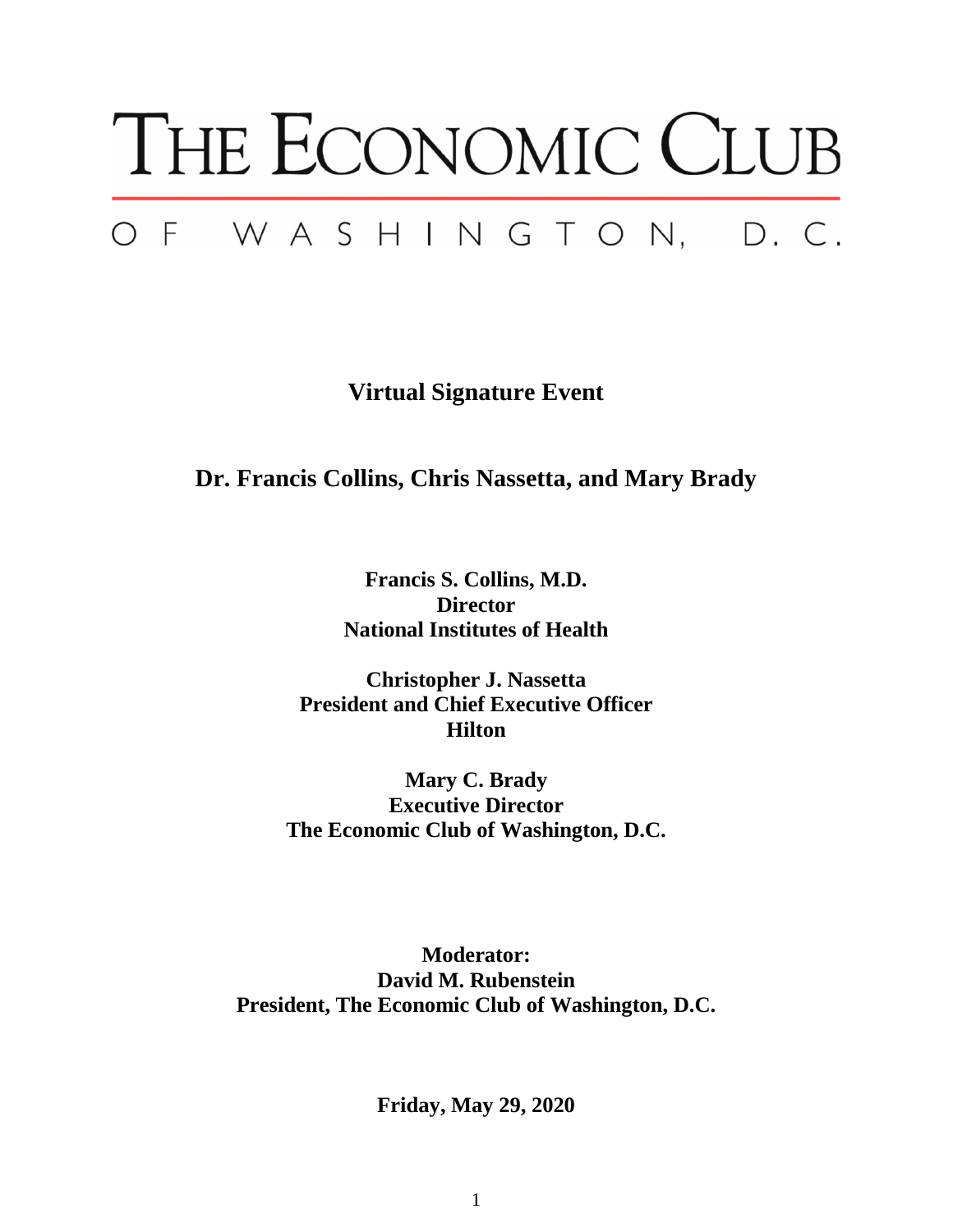## THE ECONOMIC CLUB OF WASHINGTON, D.C.

**Virtual Signature Event**

**Dr. Francis Collins, Chris Nassetta, and Mary Brady**

**Francis S. Collins, M.D. Director National Institutes of Health**

**Christopher J. Nassetta President and Chief Executive Officer Hilton**

**Mary C. Brady Executive Director The Economic Club of Washington, D.C.**

**Moderator: David M. Rubenstein President, The Economic Club of Washington, D.C.**

**Friday, May 29, 2020**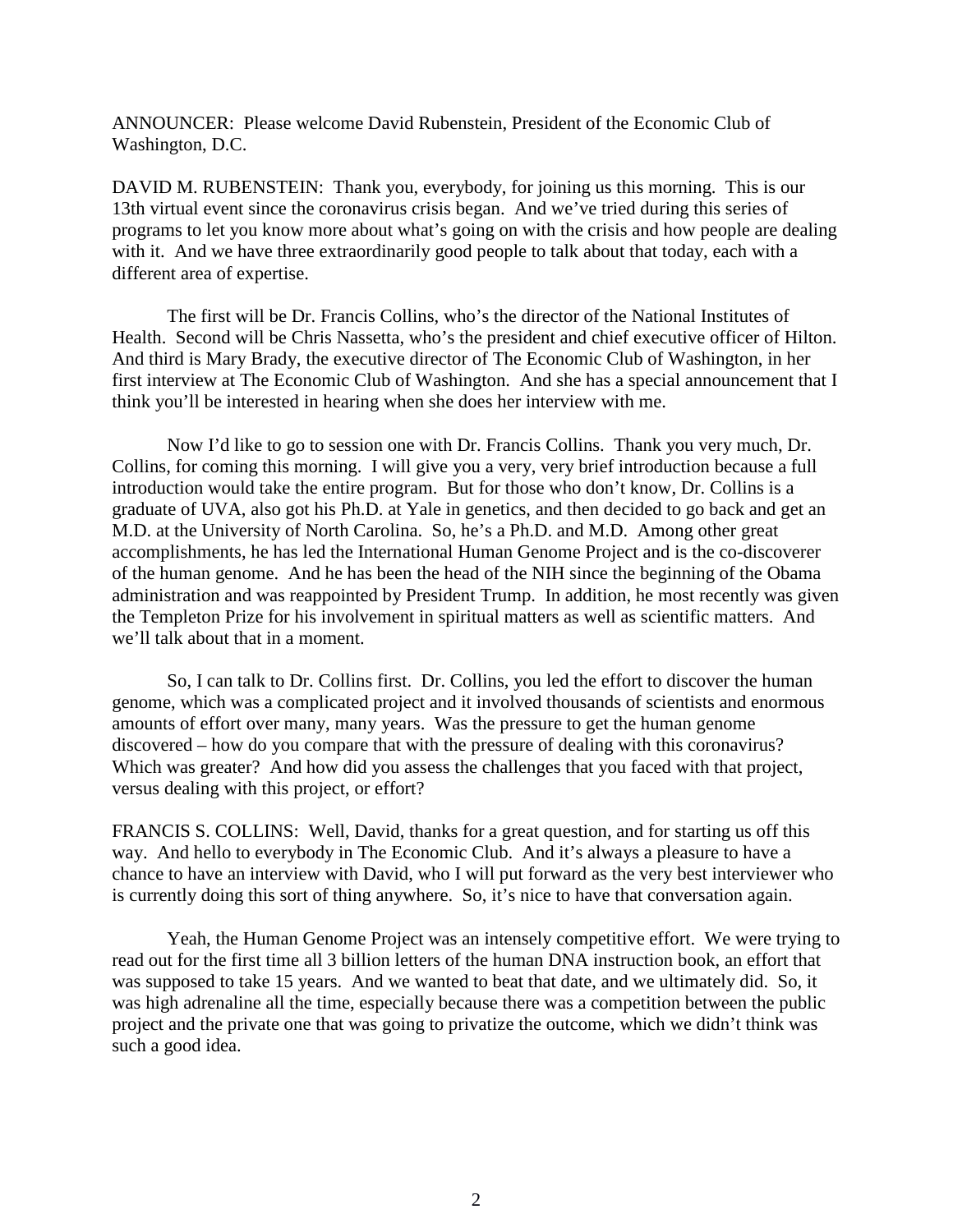ANNOUNCER: Please welcome David Rubenstein, President of the Economic Club of Washington, D.C.

DAVID M. RUBENSTEIN: Thank you, everybody, for joining us this morning. This is our 13th virtual event since the coronavirus crisis began. And we've tried during this series of programs to let you know more about what's going on with the crisis and how people are dealing with it. And we have three extraordinarily good people to talk about that today, each with a different area of expertise.

The first will be Dr. Francis Collins, who's the director of the National Institutes of Health. Second will be Chris Nassetta, who's the president and chief executive officer of Hilton. And third is Mary Brady, the executive director of The Economic Club of Washington, in her first interview at The Economic Club of Washington. And she has a special announcement that I think you'll be interested in hearing when she does her interview with me.

Now I'd like to go to session one with Dr. Francis Collins. Thank you very much, Dr. Collins, for coming this morning. I will give you a very, very brief introduction because a full introduction would take the entire program. But for those who don't know, Dr. Collins is a graduate of UVA, also got his Ph.D. at Yale in genetics, and then decided to go back and get an M.D. at the University of North Carolina. So, he's a Ph.D. and M.D. Among other great accomplishments, he has led the International Human Genome Project and is the co-discoverer of the human genome. And he has been the head of the NIH since the beginning of the Obama administration and was reappointed by President Trump. In addition, he most recently was given the Templeton Prize for his involvement in spiritual matters as well as scientific matters. And we'll talk about that in a moment.

So, I can talk to Dr. Collins first. Dr. Collins, you led the effort to discover the human genome, which was a complicated project and it involved thousands of scientists and enormous amounts of effort over many, many years. Was the pressure to get the human genome discovered – how do you compare that with the pressure of dealing with this coronavirus? Which was greater? And how did you assess the challenges that you faced with that project, versus dealing with this project, or effort?

FRANCIS S. COLLINS: Well, David, thanks for a great question, and for starting us off this way. And hello to everybody in The Economic Club. And it's always a pleasure to have a chance to have an interview with David, who I will put forward as the very best interviewer who is currently doing this sort of thing anywhere. So, it's nice to have that conversation again.

Yeah, the Human Genome Project was an intensely competitive effort. We were trying to read out for the first time all 3 billion letters of the human DNA instruction book, an effort that was supposed to take 15 years. And we wanted to beat that date, and we ultimately did. So, it was high adrenaline all the time, especially because there was a competition between the public project and the private one that was going to privatize the outcome, which we didn't think was such a good idea.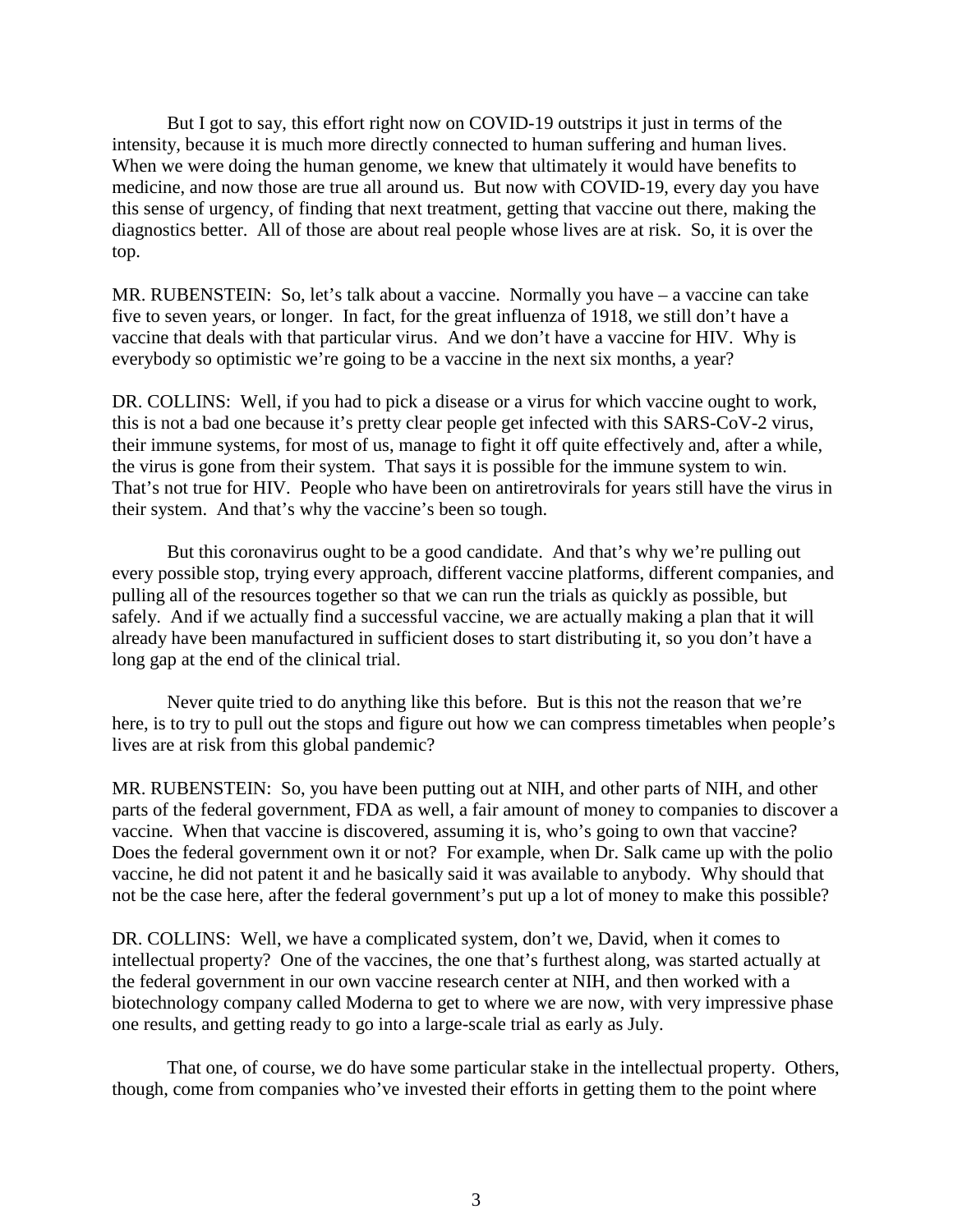But I got to say, this effort right now on COVID-19 outstrips it just in terms of the intensity, because it is much more directly connected to human suffering and human lives. When we were doing the human genome, we knew that ultimately it would have benefits to medicine, and now those are true all around us. But now with COVID-19, every day you have this sense of urgency, of finding that next treatment, getting that vaccine out there, making the diagnostics better. All of those are about real people whose lives are at risk. So, it is over the top.

MR. RUBENSTEIN: So, let's talk about a vaccine. Normally you have – a vaccine can take five to seven years, or longer. In fact, for the great influenza of 1918, we still don't have a vaccine that deals with that particular virus. And we don't have a vaccine for HIV. Why is everybody so optimistic we're going to be a vaccine in the next six months, a year?

DR. COLLINS: Well, if you had to pick a disease or a virus for which vaccine ought to work, this is not a bad one because it's pretty clear people get infected with this SARS-CoV-2 virus, their immune systems, for most of us, manage to fight it off quite effectively and, after a while, the virus is gone from their system. That says it is possible for the immune system to win. That's not true for HIV. People who have been on antiretrovirals for years still have the virus in their system. And that's why the vaccine's been so tough.

But this coronavirus ought to be a good candidate. And that's why we're pulling out every possible stop, trying every approach, different vaccine platforms, different companies, and pulling all of the resources together so that we can run the trials as quickly as possible, but safely. And if we actually find a successful vaccine, we are actually making a plan that it will already have been manufactured in sufficient doses to start distributing it, so you don't have a long gap at the end of the clinical trial.

Never quite tried to do anything like this before. But is this not the reason that we're here, is to try to pull out the stops and figure out how we can compress timetables when people's lives are at risk from this global pandemic?

MR. RUBENSTEIN: So, you have been putting out at NIH, and other parts of NIH, and other parts of the federal government, FDA as well, a fair amount of money to companies to discover a vaccine. When that vaccine is discovered, assuming it is, who's going to own that vaccine? Does the federal government own it or not? For example, when Dr. Salk came up with the polio vaccine, he did not patent it and he basically said it was available to anybody. Why should that not be the case here, after the federal government's put up a lot of money to make this possible?

DR. COLLINS: Well, we have a complicated system, don't we, David, when it comes to intellectual property? One of the vaccines, the one that's furthest along, was started actually at the federal government in our own vaccine research center at NIH, and then worked with a biotechnology company called Moderna to get to where we are now, with very impressive phase one results, and getting ready to go into a large-scale trial as early as July.

That one, of course, we do have some particular stake in the intellectual property. Others, though, come from companies who've invested their efforts in getting them to the point where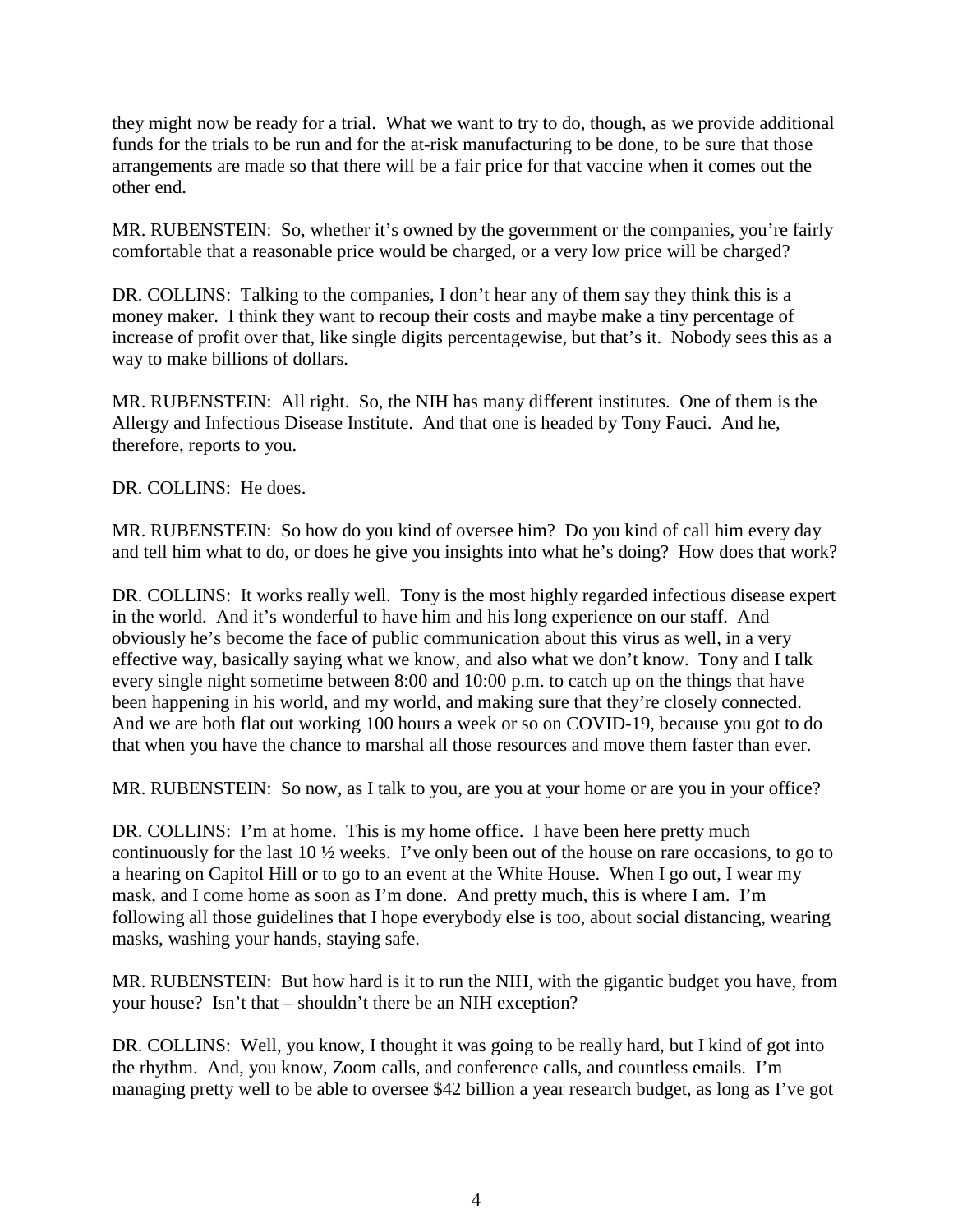they might now be ready for a trial. What we want to try to do, though, as we provide additional funds for the trials to be run and for the at-risk manufacturing to be done, to be sure that those arrangements are made so that there will be a fair price for that vaccine when it comes out the other end.

MR. RUBENSTEIN: So, whether it's owned by the government or the companies, you're fairly comfortable that a reasonable price would be charged, or a very low price will be charged?

DR. COLLINS: Talking to the companies, I don't hear any of them say they think this is a money maker. I think they want to recoup their costs and maybe make a tiny percentage of increase of profit over that, like single digits percentagewise, but that's it. Nobody sees this as a way to make billions of dollars.

MR. RUBENSTEIN: All right. So, the NIH has many different institutes. One of them is the Allergy and Infectious Disease Institute. And that one is headed by Tony Fauci. And he, therefore, reports to you.

DR. COLLINS: He does.

MR. RUBENSTEIN: So how do you kind of oversee him? Do you kind of call him every day and tell him what to do, or does he give you insights into what he's doing? How does that work?

DR. COLLINS: It works really well. Tony is the most highly regarded infectious disease expert in the world. And it's wonderful to have him and his long experience on our staff. And obviously he's become the face of public communication about this virus as well, in a very effective way, basically saying what we know, and also what we don't know. Tony and I talk every single night sometime between 8:00 and 10:00 p.m. to catch up on the things that have been happening in his world, and my world, and making sure that they're closely connected. And we are both flat out working 100 hours a week or so on COVID-19, because you got to do that when you have the chance to marshal all those resources and move them faster than ever.

MR. RUBENSTEIN: So now, as I talk to you, are you at your home or are you in your office?

DR. COLLINS: I'm at home. This is my home office. I have been here pretty much continuously for the last 10 ½ weeks. I've only been out of the house on rare occasions, to go to a hearing on Capitol Hill or to go to an event at the White House. When I go out, I wear my mask, and I come home as soon as I'm done. And pretty much, this is where I am. I'm following all those guidelines that I hope everybody else is too, about social distancing, wearing masks, washing your hands, staying safe.

MR. RUBENSTEIN: But how hard is it to run the NIH, with the gigantic budget you have, from your house? Isn't that – shouldn't there be an NIH exception?

DR. COLLINS: Well, you know, I thought it was going to be really hard, but I kind of got into the rhythm. And, you know, Zoom calls, and conference calls, and countless emails. I'm managing pretty well to be able to oversee \$42 billion a year research budget, as long as I've got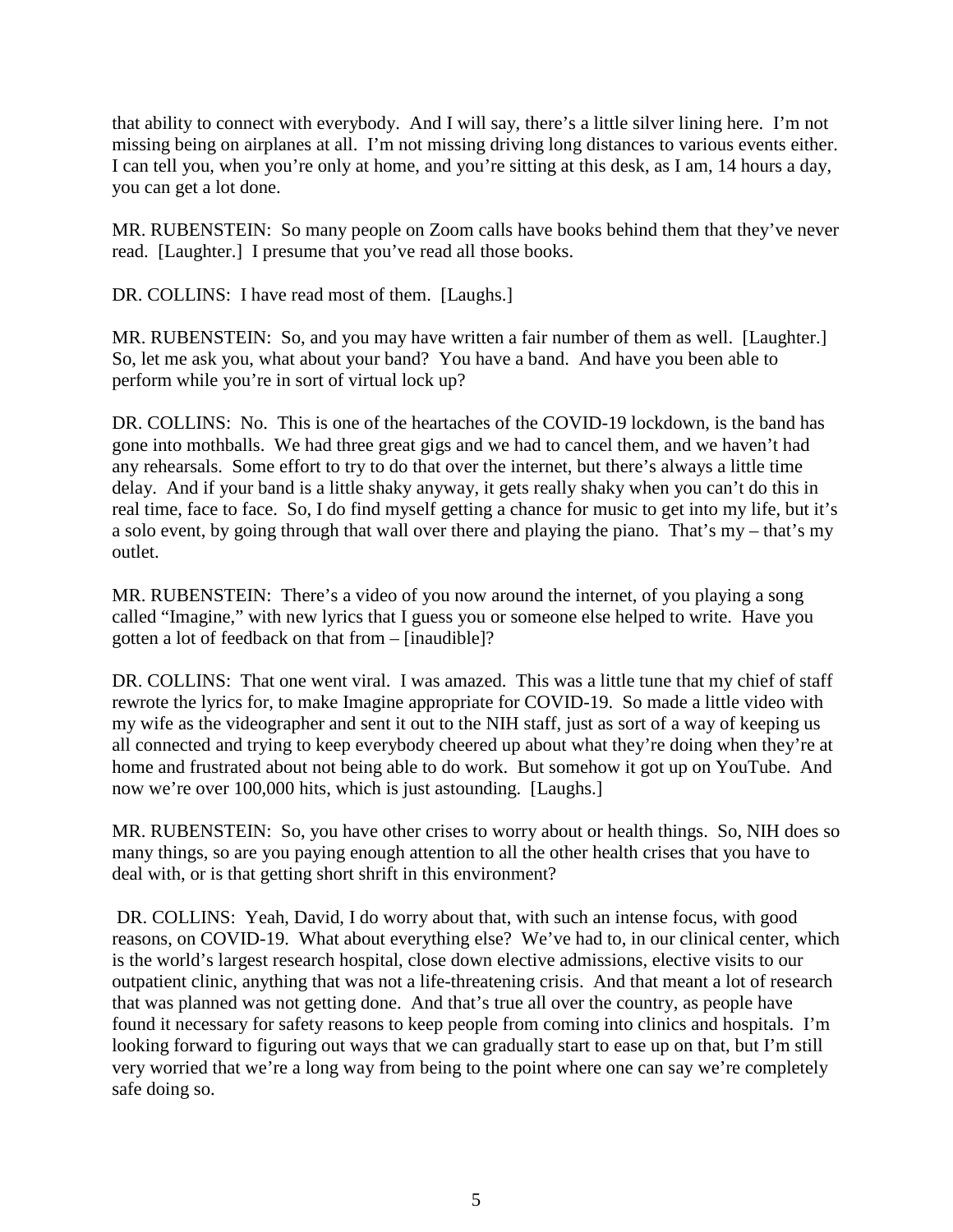that ability to connect with everybody. And I will say, there's a little silver lining here. I'm not missing being on airplanes at all. I'm not missing driving long distances to various events either. I can tell you, when you're only at home, and you're sitting at this desk, as I am, 14 hours a day, you can get a lot done.

MR. RUBENSTEIN: So many people on Zoom calls have books behind them that they've never read. [Laughter.] I presume that you've read all those books.

DR. COLLINS: I have read most of them. [Laughs.]

MR. RUBENSTEIN: So, and you may have written a fair number of them as well. [Laughter.] So, let me ask you, what about your band? You have a band. And have you been able to perform while you're in sort of virtual lock up?

DR. COLLINS: No. This is one of the heartaches of the COVID-19 lockdown, is the band has gone into mothballs. We had three great gigs and we had to cancel them, and we haven't had any rehearsals. Some effort to try to do that over the internet, but there's always a little time delay. And if your band is a little shaky anyway, it gets really shaky when you can't do this in real time, face to face. So, I do find myself getting a chance for music to get into my life, but it's a solo event, by going through that wall over there and playing the piano. That's my – that's my outlet.

MR. RUBENSTEIN: There's a video of you now around the internet, of you playing a song called "Imagine," with new lyrics that I guess you or someone else helped to write. Have you gotten a lot of feedback on that from – [inaudible]?

DR. COLLINS: That one went viral. I was amazed. This was a little tune that my chief of staff rewrote the lyrics for, to make Imagine appropriate for COVID-19. So made a little video with my wife as the videographer and sent it out to the NIH staff, just as sort of a way of keeping us all connected and trying to keep everybody cheered up about what they're doing when they're at home and frustrated about not being able to do work. But somehow it got up on YouTube. And now we're over 100,000 hits, which is just astounding. [Laughs.]

MR. RUBENSTEIN: So, you have other crises to worry about or health things. So, NIH does so many things, so are you paying enough attention to all the other health crises that you have to deal with, or is that getting short shrift in this environment?

DR. COLLINS: Yeah, David, I do worry about that, with such an intense focus, with good reasons, on COVID-19. What about everything else? We've had to, in our clinical center, which is the world's largest research hospital, close down elective admissions, elective visits to our outpatient clinic, anything that was not a life-threatening crisis. And that meant a lot of research that was planned was not getting done. And that's true all over the country, as people have found it necessary for safety reasons to keep people from coming into clinics and hospitals. I'm looking forward to figuring out ways that we can gradually start to ease up on that, but I'm still very worried that we're a long way from being to the point where one can say we're completely safe doing so.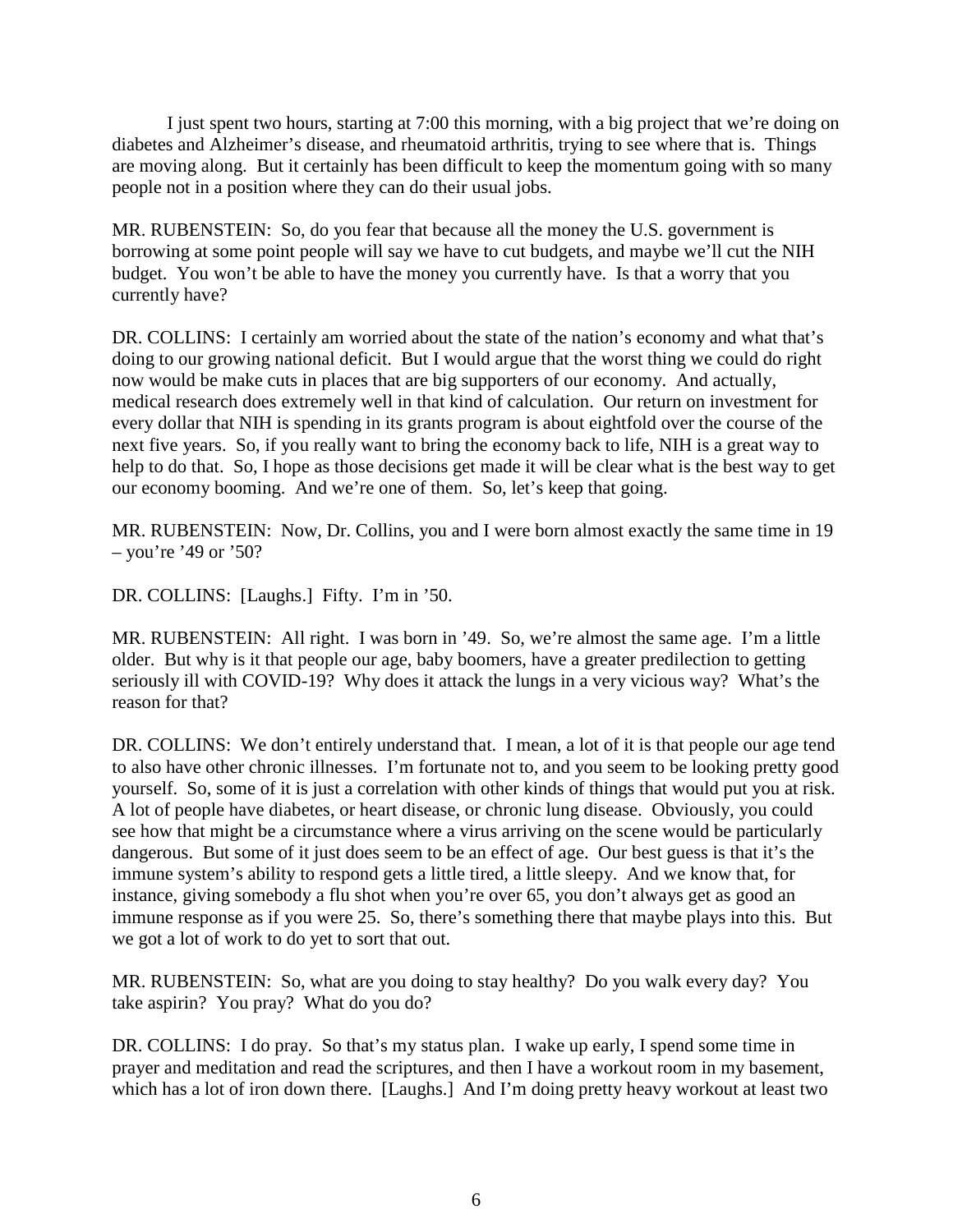I just spent two hours, starting at 7:00 this morning, with a big project that we're doing on diabetes and Alzheimer's disease, and rheumatoid arthritis, trying to see where that is. Things are moving along. But it certainly has been difficult to keep the momentum going with so many people not in a position where they can do their usual jobs.

MR. RUBENSTEIN: So, do you fear that because all the money the U.S. government is borrowing at some point people will say we have to cut budgets, and maybe we'll cut the NIH budget. You won't be able to have the money you currently have. Is that a worry that you currently have?

DR. COLLINS: I certainly am worried about the state of the nation's economy and what that's doing to our growing national deficit. But I would argue that the worst thing we could do right now would be make cuts in places that are big supporters of our economy. And actually, medical research does extremely well in that kind of calculation. Our return on investment for every dollar that NIH is spending in its grants program is about eightfold over the course of the next five years. So, if you really want to bring the economy back to life, NIH is a great way to help to do that. So, I hope as those decisions get made it will be clear what is the best way to get our economy booming. And we're one of them. So, let's keep that going.

MR. RUBENSTEIN: Now, Dr. Collins, you and I were born almost exactly the same time in 19  $-$  you're '49 or '50?

DR. COLLINS: [Laughs.] Fifty. I'm in '50.

MR. RUBENSTEIN: All right. I was born in '49. So, we're almost the same age. I'm a little older. But why is it that people our age, baby boomers, have a greater predilection to getting seriously ill with COVID-19? Why does it attack the lungs in a very vicious way? What's the reason for that?

DR. COLLINS: We don't entirely understand that. I mean, a lot of it is that people our age tend to also have other chronic illnesses. I'm fortunate not to, and you seem to be looking pretty good yourself. So, some of it is just a correlation with other kinds of things that would put you at risk. A lot of people have diabetes, or heart disease, or chronic lung disease. Obviously, you could see how that might be a circumstance where a virus arriving on the scene would be particularly dangerous. But some of it just does seem to be an effect of age. Our best guess is that it's the immune system's ability to respond gets a little tired, a little sleepy. And we know that, for instance, giving somebody a flu shot when you're over 65, you don't always get as good an immune response as if you were 25. So, there's something there that maybe plays into this. But we got a lot of work to do yet to sort that out.

MR. RUBENSTEIN: So, what are you doing to stay healthy? Do you walk every day? You take aspirin? You pray? What do you do?

DR. COLLINS: I do pray. So that's my status plan. I wake up early, I spend some time in prayer and meditation and read the scriptures, and then I have a workout room in my basement, which has a lot of iron down there. [Laughs.] And I'm doing pretty heavy workout at least two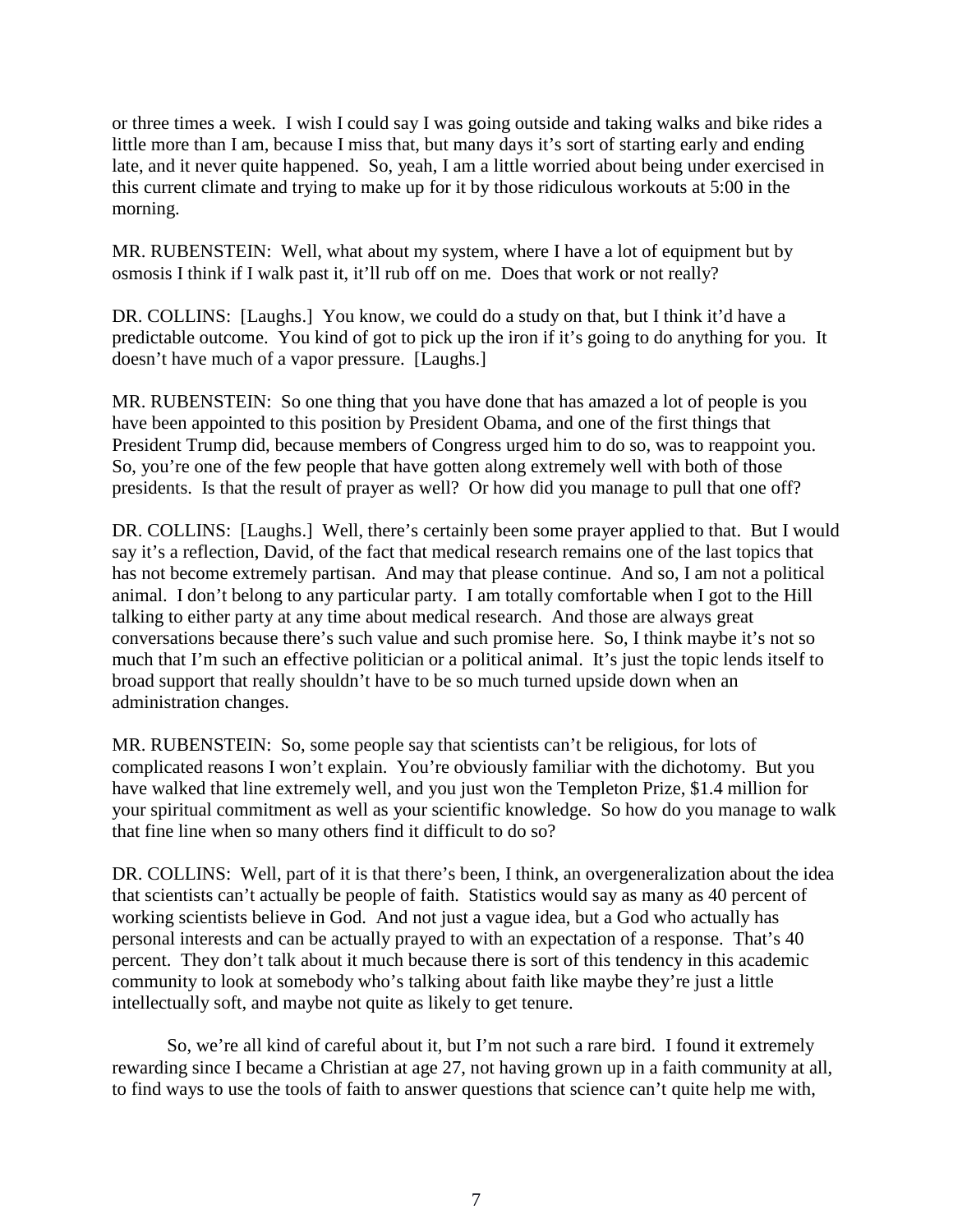or three times a week. I wish I could say I was going outside and taking walks and bike rides a little more than I am, because I miss that, but many days it's sort of starting early and ending late, and it never quite happened. So, yeah, I am a little worried about being under exercised in this current climate and trying to make up for it by those ridiculous workouts at 5:00 in the morning.

MR. RUBENSTEIN: Well, what about my system, where I have a lot of equipment but by osmosis I think if I walk past it, it'll rub off on me. Does that work or not really?

DR. COLLINS: [Laughs.] You know, we could do a study on that, but I think it'd have a predictable outcome. You kind of got to pick up the iron if it's going to do anything for you. It doesn't have much of a vapor pressure. [Laughs.]

MR. RUBENSTEIN: So one thing that you have done that has amazed a lot of people is you have been appointed to this position by President Obama, and one of the first things that President Trump did, because members of Congress urged him to do so, was to reappoint you. So, you're one of the few people that have gotten along extremely well with both of those presidents. Is that the result of prayer as well? Or how did you manage to pull that one off?

DR. COLLINS: [Laughs.] Well, there's certainly been some prayer applied to that. But I would say it's a reflection, David, of the fact that medical research remains one of the last topics that has not become extremely partisan. And may that please continue. And so, I am not a political animal. I don't belong to any particular party. I am totally comfortable when I got to the Hill talking to either party at any time about medical research. And those are always great conversations because there's such value and such promise here. So, I think maybe it's not so much that I'm such an effective politician or a political animal. It's just the topic lends itself to broad support that really shouldn't have to be so much turned upside down when an administration changes.

MR. RUBENSTEIN: So, some people say that scientists can't be religious, for lots of complicated reasons I won't explain. You're obviously familiar with the dichotomy. But you have walked that line extremely well, and you just won the Templeton Prize, \$1.4 million for your spiritual commitment as well as your scientific knowledge. So how do you manage to walk that fine line when so many others find it difficult to do so?

DR. COLLINS: Well, part of it is that there's been, I think, an overgeneralization about the idea that scientists can't actually be people of faith. Statistics would say as many as 40 percent of working scientists believe in God. And not just a vague idea, but a God who actually has personal interests and can be actually prayed to with an expectation of a response. That's 40 percent. They don't talk about it much because there is sort of this tendency in this academic community to look at somebody who's talking about faith like maybe they're just a little intellectually soft, and maybe not quite as likely to get tenure.

So, we're all kind of careful about it, but I'm not such a rare bird. I found it extremely rewarding since I became a Christian at age 27, not having grown up in a faith community at all, to find ways to use the tools of faith to answer questions that science can't quite help me with,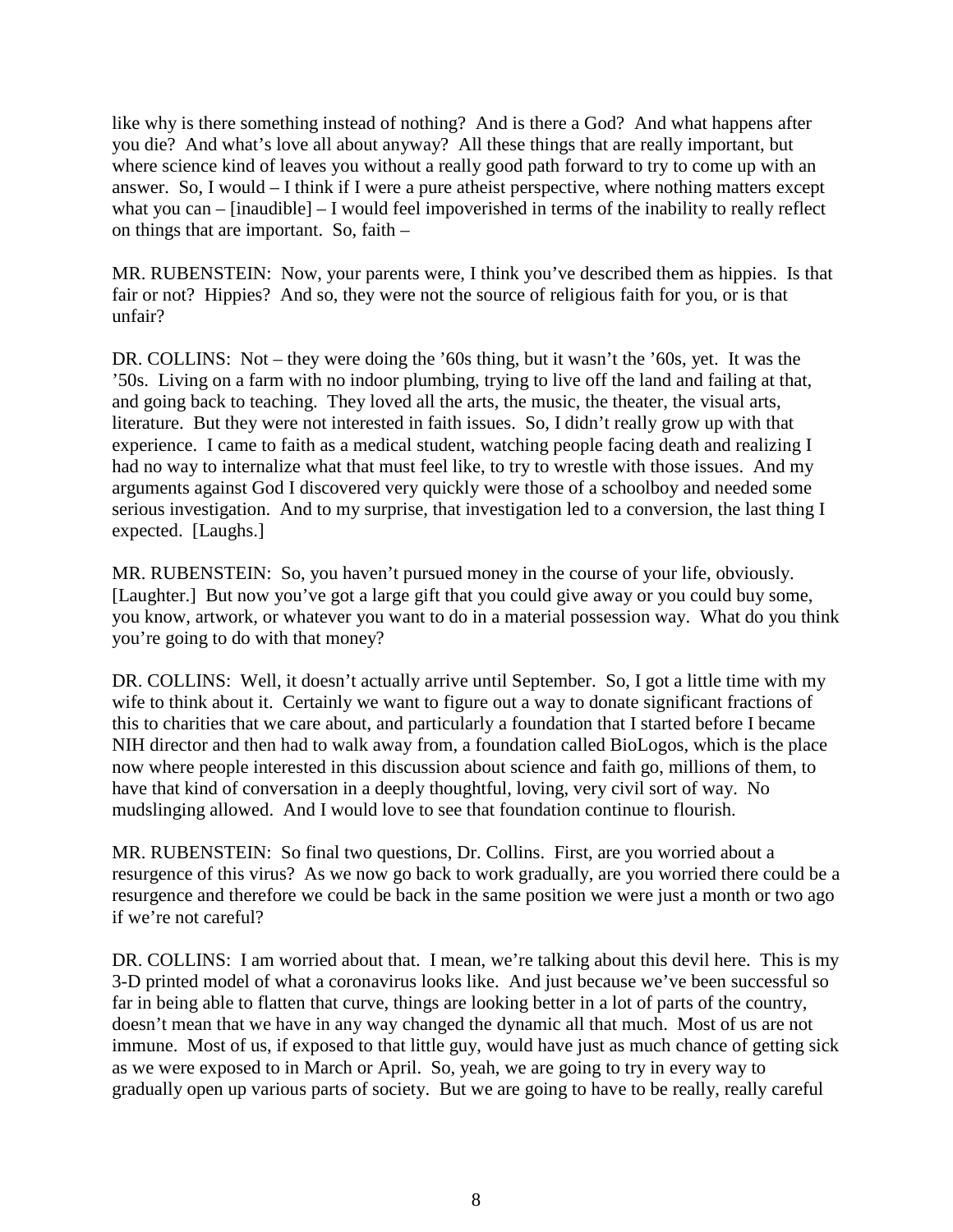like why is there something instead of nothing? And is there a God? And what happens after you die? And what's love all about anyway? All these things that are really important, but where science kind of leaves you without a really good path forward to try to come up with an answer. So, I would – I think if I were a pure atheist perspective, where nothing matters except what you can – [inaudible] – I would feel impoverished in terms of the inability to really reflect on things that are important. So, faith –

MR. RUBENSTEIN: Now, your parents were, I think you've described them as hippies. Is that fair or not? Hippies? And so, they were not the source of religious faith for you, or is that unfair?

DR. COLLINS: Not – they were doing the '60s thing, but it wasn't the '60s, yet. It was the '50s. Living on a farm with no indoor plumbing, trying to live off the land and failing at that, and going back to teaching. They loved all the arts, the music, the theater, the visual arts, literature. But they were not interested in faith issues. So, I didn't really grow up with that experience. I came to faith as a medical student, watching people facing death and realizing I had no way to internalize what that must feel like, to try to wrestle with those issues. And my arguments against God I discovered very quickly were those of a schoolboy and needed some serious investigation. And to my surprise, that investigation led to a conversion, the last thing I expected. [Laughs.]

MR. RUBENSTEIN: So, you haven't pursued money in the course of your life, obviously. [Laughter.] But now you've got a large gift that you could give away or you could buy some, you know, artwork, or whatever you want to do in a material possession way. What do you think you're going to do with that money?

DR. COLLINS: Well, it doesn't actually arrive until September. So, I got a little time with my wife to think about it. Certainly we want to figure out a way to donate significant fractions of this to charities that we care about, and particularly a foundation that I started before I became NIH director and then had to walk away from, a foundation called BioLogos, which is the place now where people interested in this discussion about science and faith go, millions of them, to have that kind of conversation in a deeply thoughtful, loving, very civil sort of way. No mudslinging allowed. And I would love to see that foundation continue to flourish.

MR. RUBENSTEIN: So final two questions, Dr. Collins. First, are you worried about a resurgence of this virus? As we now go back to work gradually, are you worried there could be a resurgence and therefore we could be back in the same position we were just a month or two ago if we're not careful?

DR. COLLINS: I am worried about that. I mean, we're talking about this devil here. This is my 3-D printed model of what a coronavirus looks like. And just because we've been successful so far in being able to flatten that curve, things are looking better in a lot of parts of the country, doesn't mean that we have in any way changed the dynamic all that much. Most of us are not immune. Most of us, if exposed to that little guy, would have just as much chance of getting sick as we were exposed to in March or April. So, yeah, we are going to try in every way to gradually open up various parts of society. But we are going to have to be really, really careful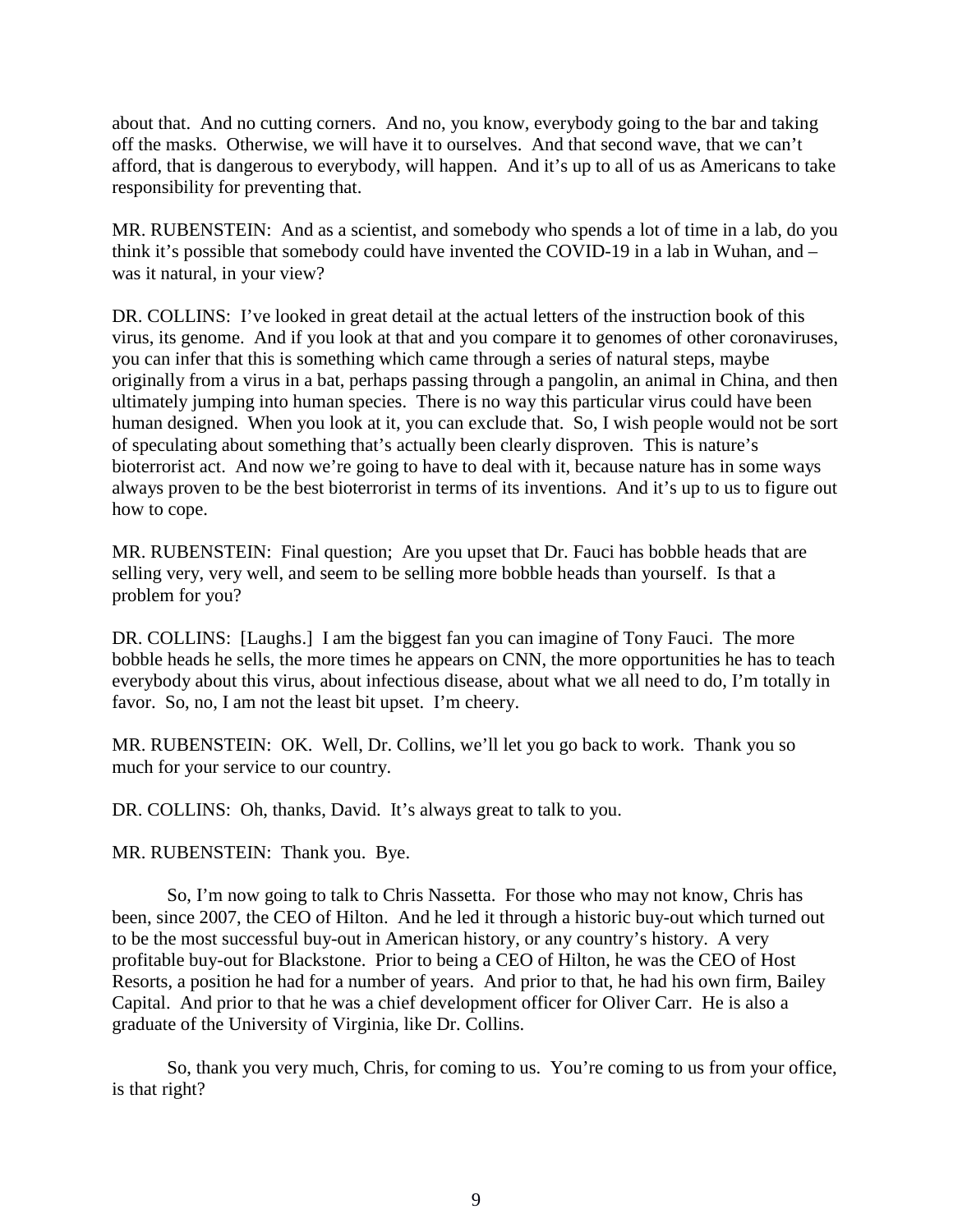about that. And no cutting corners. And no, you know, everybody going to the bar and taking off the masks. Otherwise, we will have it to ourselves. And that second wave, that we can't afford, that is dangerous to everybody, will happen. And it's up to all of us as Americans to take responsibility for preventing that.

MR. RUBENSTEIN: And as a scientist, and somebody who spends a lot of time in a lab, do you think it's possible that somebody could have invented the COVID-19 in a lab in Wuhan, and – was it natural, in your view?

DR. COLLINS: I've looked in great detail at the actual letters of the instruction book of this virus, its genome. And if you look at that and you compare it to genomes of other coronaviruses, you can infer that this is something which came through a series of natural steps, maybe originally from a virus in a bat, perhaps passing through a pangolin, an animal in China, and then ultimately jumping into human species. There is no way this particular virus could have been human designed. When you look at it, you can exclude that. So, I wish people would not be sort of speculating about something that's actually been clearly disproven. This is nature's bioterrorist act. And now we're going to have to deal with it, because nature has in some ways always proven to be the best bioterrorist in terms of its inventions. And it's up to us to figure out how to cope.

MR. RUBENSTEIN: Final question; Are you upset that Dr. Fauci has bobble heads that are selling very, very well, and seem to be selling more bobble heads than yourself. Is that a problem for you?

DR. COLLINS: [Laughs.] I am the biggest fan you can imagine of Tony Fauci. The more bobble heads he sells, the more times he appears on CNN, the more opportunities he has to teach everybody about this virus, about infectious disease, about what we all need to do, I'm totally in favor. So, no, I am not the least bit upset. I'm cheery.

MR. RUBENSTEIN: OK. Well, Dr. Collins, we'll let you go back to work. Thank you so much for your service to our country.

DR. COLLINS: Oh, thanks, David. It's always great to talk to you.

MR. RUBENSTEIN: Thank you. Bye.

So, I'm now going to talk to Chris Nassetta. For those who may not know, Chris has been, since 2007, the CEO of Hilton. And he led it through a historic buy-out which turned out to be the most successful buy-out in American history, or any country's history. A very profitable buy-out for Blackstone. Prior to being a CEO of Hilton, he was the CEO of Host Resorts, a position he had for a number of years. And prior to that, he had his own firm, Bailey Capital. And prior to that he was a chief development officer for Oliver Carr. He is also a graduate of the University of Virginia, like Dr. Collins.

So, thank you very much, Chris, for coming to us. You're coming to us from your office, is that right?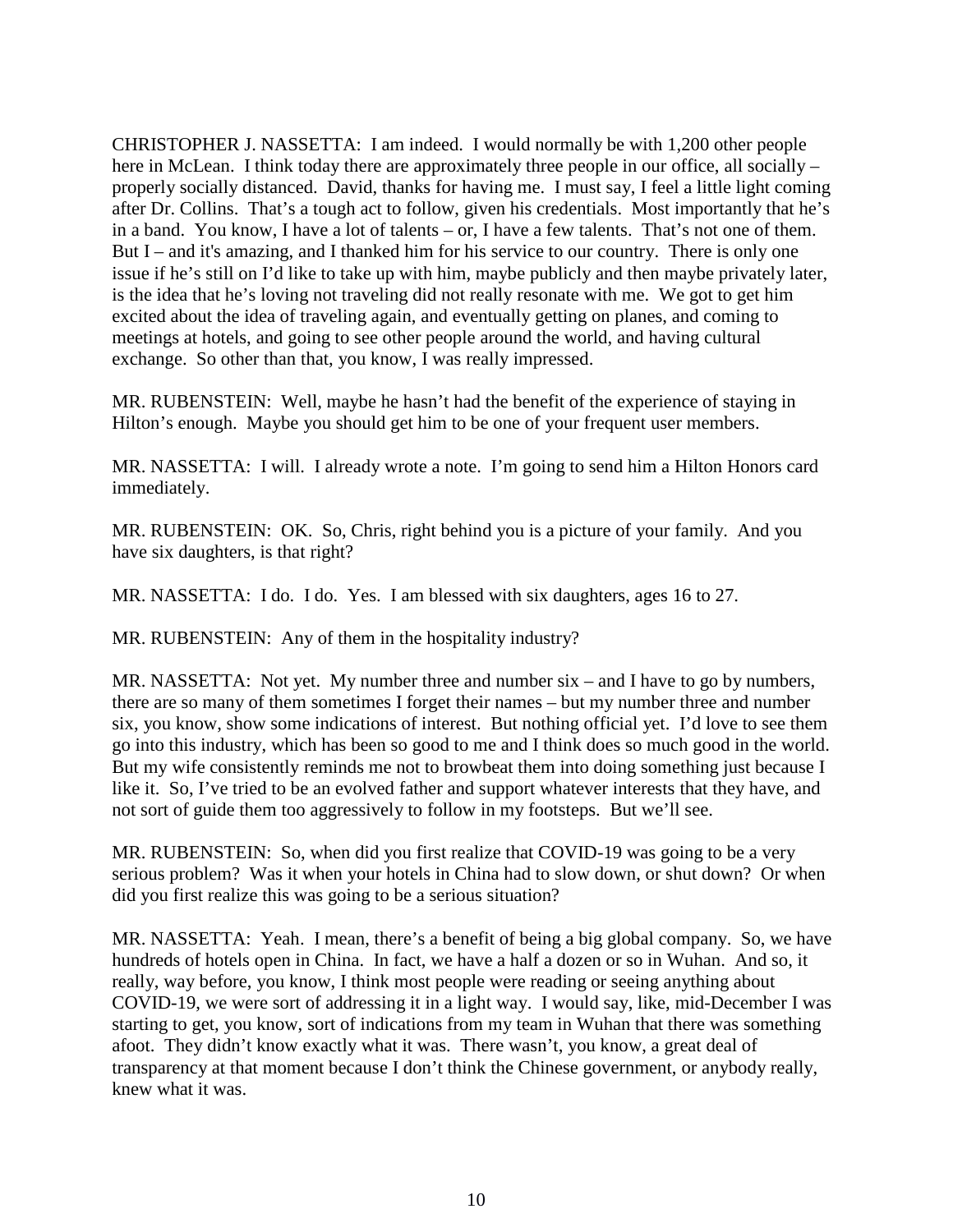CHRISTOPHER J. NASSETTA: I am indeed. I would normally be with 1,200 other people here in McLean. I think today there are approximately three people in our office, all socially – properly socially distanced. David, thanks for having me. I must say, I feel a little light coming after Dr. Collins. That's a tough act to follow, given his credentials. Most importantly that he's in a band. You know, I have a lot of talents – or, I have a few talents. That's not one of them. But I – and it's amazing, and I thanked him for his service to our country. There is only one issue if he's still on I'd like to take up with him, maybe publicly and then maybe privately later, is the idea that he's loving not traveling did not really resonate with me. We got to get him excited about the idea of traveling again, and eventually getting on planes, and coming to meetings at hotels, and going to see other people around the world, and having cultural exchange. So other than that, you know, I was really impressed.

MR. RUBENSTEIN: Well, maybe he hasn't had the benefit of the experience of staying in Hilton's enough. Maybe you should get him to be one of your frequent user members.

MR. NASSETTA: I will. I already wrote a note. I'm going to send him a Hilton Honors card immediately.

MR. RUBENSTEIN: OK. So, Chris, right behind you is a picture of your family. And you have six daughters, is that right?

MR. NASSETTA: I do. I do. Yes. I am blessed with six daughters, ages 16 to 27.

MR. RUBENSTEIN: Any of them in the hospitality industry?

MR. NASSETTA: Not yet. My number three and number six – and I have to go by numbers, there are so many of them sometimes I forget their names – but my number three and number six, you know, show some indications of interest. But nothing official yet. I'd love to see them go into this industry, which has been so good to me and I think does so much good in the world. But my wife consistently reminds me not to browbeat them into doing something just because I like it. So, I've tried to be an evolved father and support whatever interests that they have, and not sort of guide them too aggressively to follow in my footsteps. But we'll see.

MR. RUBENSTEIN: So, when did you first realize that COVID-19 was going to be a very serious problem? Was it when your hotels in China had to slow down, or shut down? Or when did you first realize this was going to be a serious situation?

MR. NASSETTA: Yeah. I mean, there's a benefit of being a big global company. So, we have hundreds of hotels open in China. In fact, we have a half a dozen or so in Wuhan. And so, it really, way before, you know, I think most people were reading or seeing anything about COVID-19, we were sort of addressing it in a light way. I would say, like, mid-December I was starting to get, you know, sort of indications from my team in Wuhan that there was something afoot. They didn't know exactly what it was. There wasn't, you know, a great deal of transparency at that moment because I don't think the Chinese government, or anybody really, knew what it was.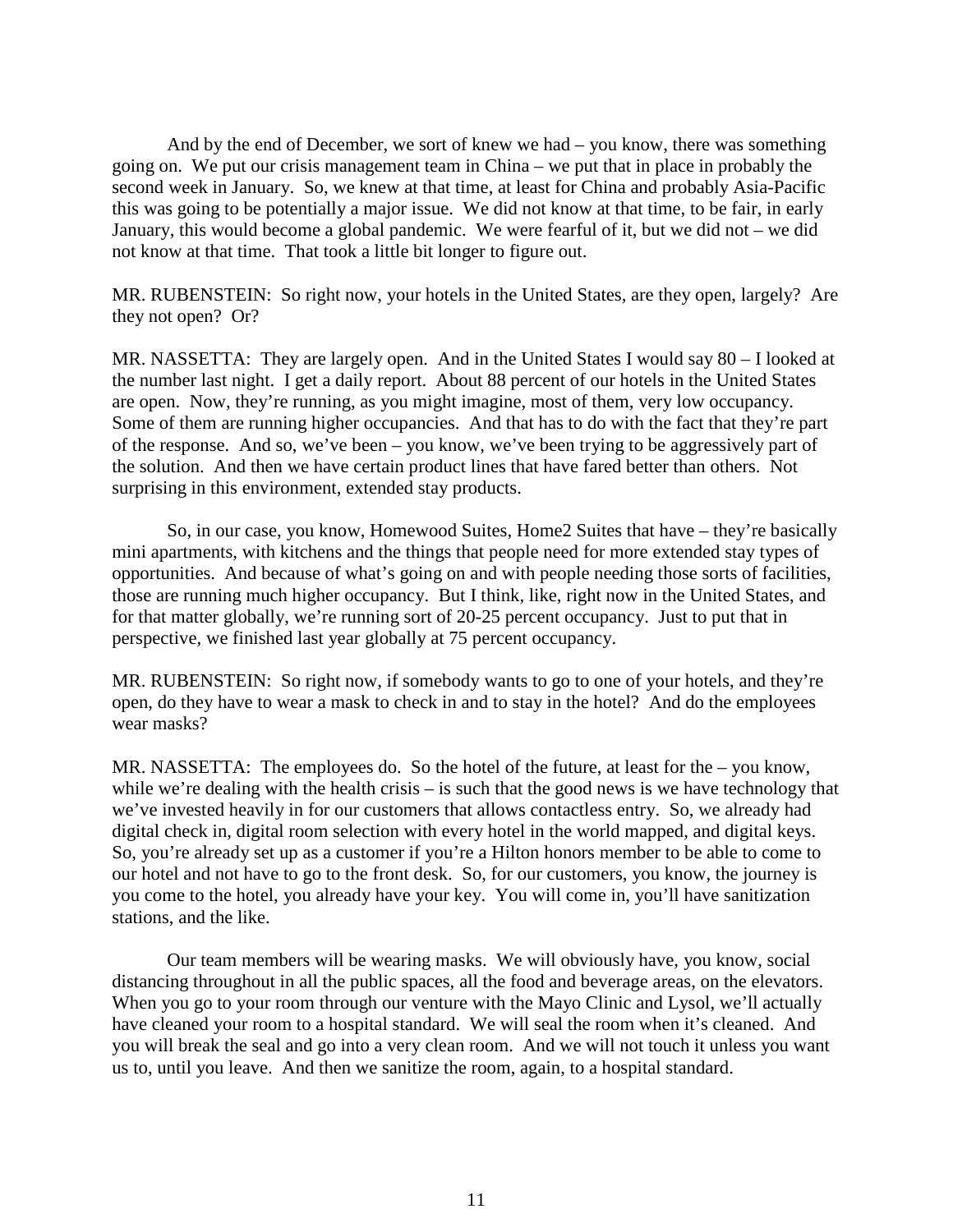And by the end of December, we sort of knew we had – you know, there was something going on. We put our crisis management team in China – we put that in place in probably the second week in January. So, we knew at that time, at least for China and probably Asia-Pacific this was going to be potentially a major issue. We did not know at that time, to be fair, in early January, this would become a global pandemic. We were fearful of it, but we did not – we did not know at that time. That took a little bit longer to figure out.

MR. RUBENSTEIN: So right now, your hotels in the United States, are they open, largely? Are they not open? Or?

MR. NASSETTA: They are largely open. And in the United States I would say 80 – I looked at the number last night. I get a daily report. About 88 percent of our hotels in the United States are open. Now, they're running, as you might imagine, most of them, very low occupancy. Some of them are running higher occupancies. And that has to do with the fact that they're part of the response. And so, we've been – you know, we've been trying to be aggressively part of the solution. And then we have certain product lines that have fared better than others. Not surprising in this environment, extended stay products.

So, in our case, you know, Homewood Suites, Home2 Suites that have – they're basically mini apartments, with kitchens and the things that people need for more extended stay types of opportunities. And because of what's going on and with people needing those sorts of facilities, those are running much higher occupancy. But I think, like, right now in the United States, and for that matter globally, we're running sort of 20-25 percent occupancy. Just to put that in perspective, we finished last year globally at 75 percent occupancy.

MR. RUBENSTEIN: So right now, if somebody wants to go to one of your hotels, and they're open, do they have to wear a mask to check in and to stay in the hotel? And do the employees wear masks?

MR. NASSETTA: The employees do. So the hotel of the future, at least for the – you know, while we're dealing with the health crisis – is such that the good news is we have technology that we've invested heavily in for our customers that allows contactless entry. So, we already had digital check in, digital room selection with every hotel in the world mapped, and digital keys. So, you're already set up as a customer if you're a Hilton honors member to be able to come to our hotel and not have to go to the front desk. So, for our customers, you know, the journey is you come to the hotel, you already have your key. You will come in, you'll have sanitization stations, and the like.

Our team members will be wearing masks. We will obviously have, you know, social distancing throughout in all the public spaces, all the food and beverage areas, on the elevators. When you go to your room through our venture with the Mayo Clinic and Lysol, we'll actually have cleaned your room to a hospital standard. We will seal the room when it's cleaned. And you will break the seal and go into a very clean room. And we will not touch it unless you want us to, until you leave. And then we sanitize the room, again, to a hospital standard.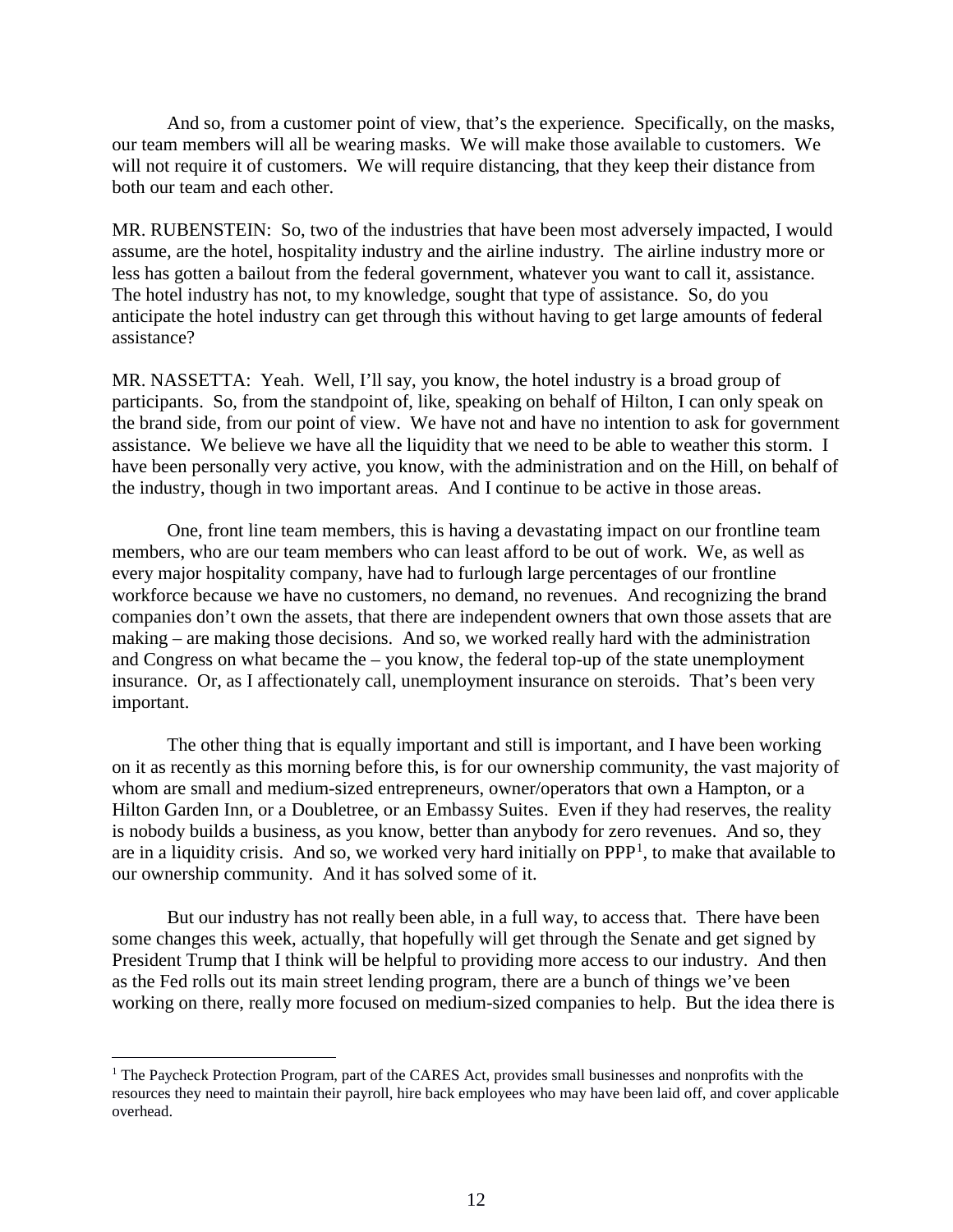And so, from a customer point of view, that's the experience. Specifically, on the masks, our team members will all be wearing masks. We will make those available to customers. We will not require it of customers. We will require distancing, that they keep their distance from both our team and each other.

MR. RUBENSTEIN: So, two of the industries that have been most adversely impacted, I would assume, are the hotel, hospitality industry and the airline industry. The airline industry more or less has gotten a bailout from the federal government, whatever you want to call it, assistance. The hotel industry has not, to my knowledge, sought that type of assistance. So, do you anticipate the hotel industry can get through this without having to get large amounts of federal assistance?

MR. NASSETTA: Yeah. Well, I'll say, you know, the hotel industry is a broad group of participants. So, from the standpoint of, like, speaking on behalf of Hilton, I can only speak on the brand side, from our point of view. We have not and have no intention to ask for government assistance. We believe we have all the liquidity that we need to be able to weather this storm. I have been personally very active, you know, with the administration and on the Hill, on behalf of the industry, though in two important areas. And I continue to be active in those areas.

One, front line team members, this is having a devastating impact on our frontline team members, who are our team members who can least afford to be out of work. We, as well as every major hospitality company, have had to furlough large percentages of our frontline workforce because we have no customers, no demand, no revenues. And recognizing the brand companies don't own the assets, that there are independent owners that own those assets that are making – are making those decisions. And so, we worked really hard with the administration and Congress on what became the – you know, the federal top-up of the state unemployment insurance. Or, as I affectionately call, unemployment insurance on steroids. That's been very important.

The other thing that is equally important and still is important, and I have been working on it as recently as this morning before this, is for our ownership community, the vast majority of whom are small and medium-sized entrepreneurs, owner/operators that own a Hampton, or a Hilton Garden Inn, or a Doubletree, or an Embassy Suites. Even if they had reserves, the reality is nobody builds a business, as you know, better than anybody for zero revenues. And so, they are in a liquidity crisis. And so, we worked very hard initially on  $PPP<sup>1</sup>$  $PPP<sup>1</sup>$  $PPP<sup>1</sup>$ , to make that available to our ownership community. And it has solved some of it.

But our industry has not really been able, in a full way, to access that. There have been some changes this week, actually, that hopefully will get through the Senate and get signed by President Trump that I think will be helpful to providing more access to our industry. And then as the Fed rolls out its main street lending program, there are a bunch of things we've been working on there, really more focused on medium-sized companies to help. But the idea there is

<span id="page-11-0"></span><sup>&</sup>lt;sup>1</sup> The Paycheck Protection Program, part of the CARES Act, provides small businesses and nonprofits with the resources they need to maintain their payroll, hire back employees who may have been laid off, and cover applicable overhead.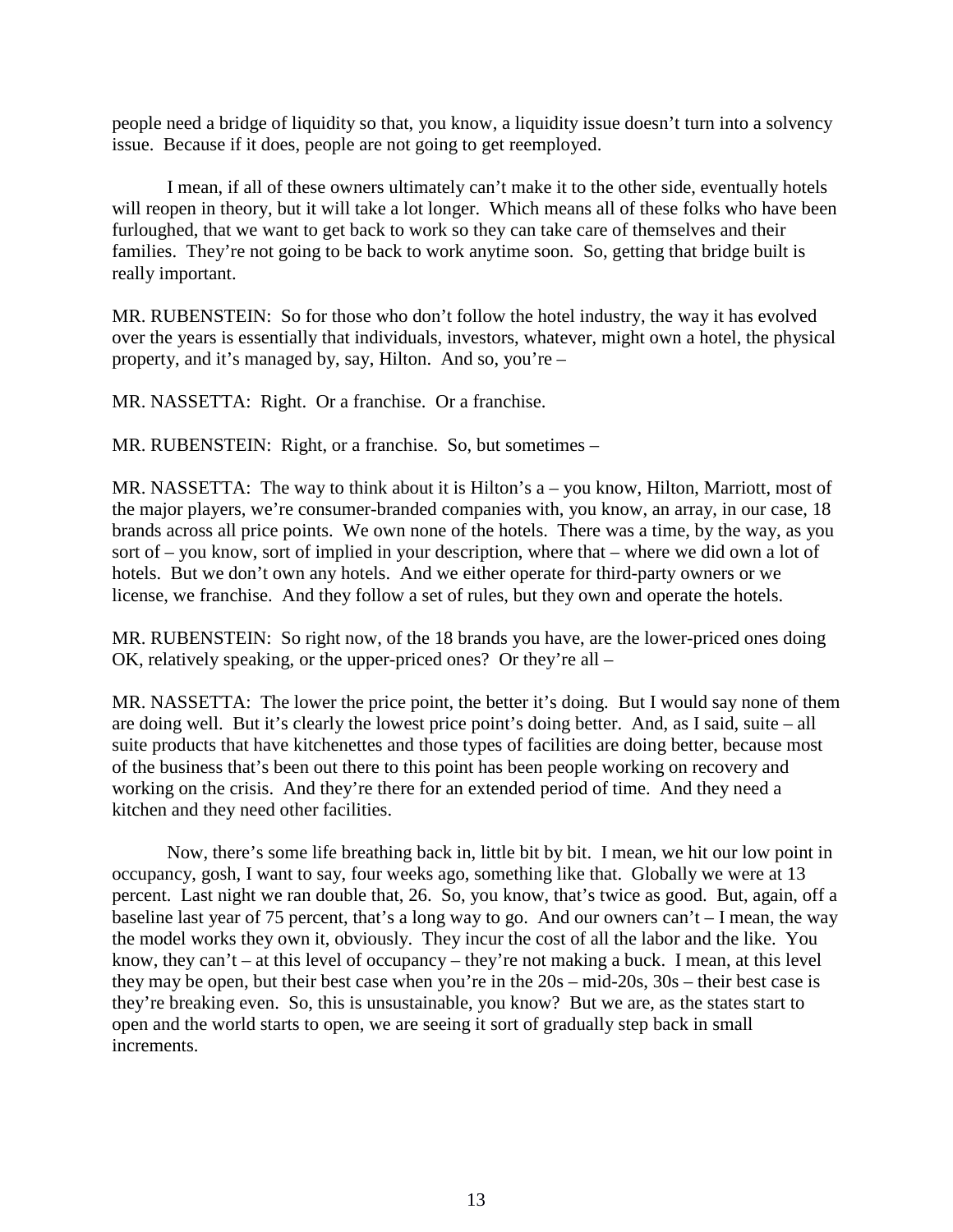people need a bridge of liquidity so that, you know, a liquidity issue doesn't turn into a solvency issue. Because if it does, people are not going to get reemployed.

I mean, if all of these owners ultimately can't make it to the other side, eventually hotels will reopen in theory, but it will take a lot longer. Which means all of these folks who have been furloughed, that we want to get back to work so they can take care of themselves and their families. They're not going to be back to work anytime soon. So, getting that bridge built is really important.

MR. RUBENSTEIN: So for those who don't follow the hotel industry, the way it has evolved over the years is essentially that individuals, investors, whatever, might own a hotel, the physical property, and it's managed by, say, Hilton. And so, you're –

MR. NASSETTA: Right. Or a franchise. Or a franchise.

MR. RUBENSTEIN: Right, or a franchise. So, but sometimes –

MR. NASSETTA: The way to think about it is Hilton's a – you know, Hilton, Marriott, most of the major players, we're consumer-branded companies with, you know, an array, in our case, 18 brands across all price points. We own none of the hotels. There was a time, by the way, as you sort of – you know, sort of implied in your description, where that – where we did own a lot of hotels. But we don't own any hotels. And we either operate for third-party owners or we license, we franchise. And they follow a set of rules, but they own and operate the hotels.

MR. RUBENSTEIN: So right now, of the 18 brands you have, are the lower-priced ones doing OK, relatively speaking, or the upper-priced ones? Or they're all –

MR. NASSETTA: The lower the price point, the better it's doing. But I would say none of them are doing well. But it's clearly the lowest price point's doing better. And, as I said, suite – all suite products that have kitchenettes and those types of facilities are doing better, because most of the business that's been out there to this point has been people working on recovery and working on the crisis. And they're there for an extended period of time. And they need a kitchen and they need other facilities.

Now, there's some life breathing back in, little bit by bit. I mean, we hit our low point in occupancy, gosh, I want to say, four weeks ago, something like that. Globally we were at 13 percent. Last night we ran double that, 26. So, you know, that's twice as good. But, again, off a baseline last year of 75 percent, that's a long way to go. And our owners can't – I mean, the way the model works they own it, obviously. They incur the cost of all the labor and the like. You know, they can't – at this level of occupancy – they're not making a buck. I mean, at this level they may be open, but their best case when you're in the 20s – mid-20s, 30s – their best case is they're breaking even. So, this is unsustainable, you know? But we are, as the states start to open and the world starts to open, we are seeing it sort of gradually step back in small increments.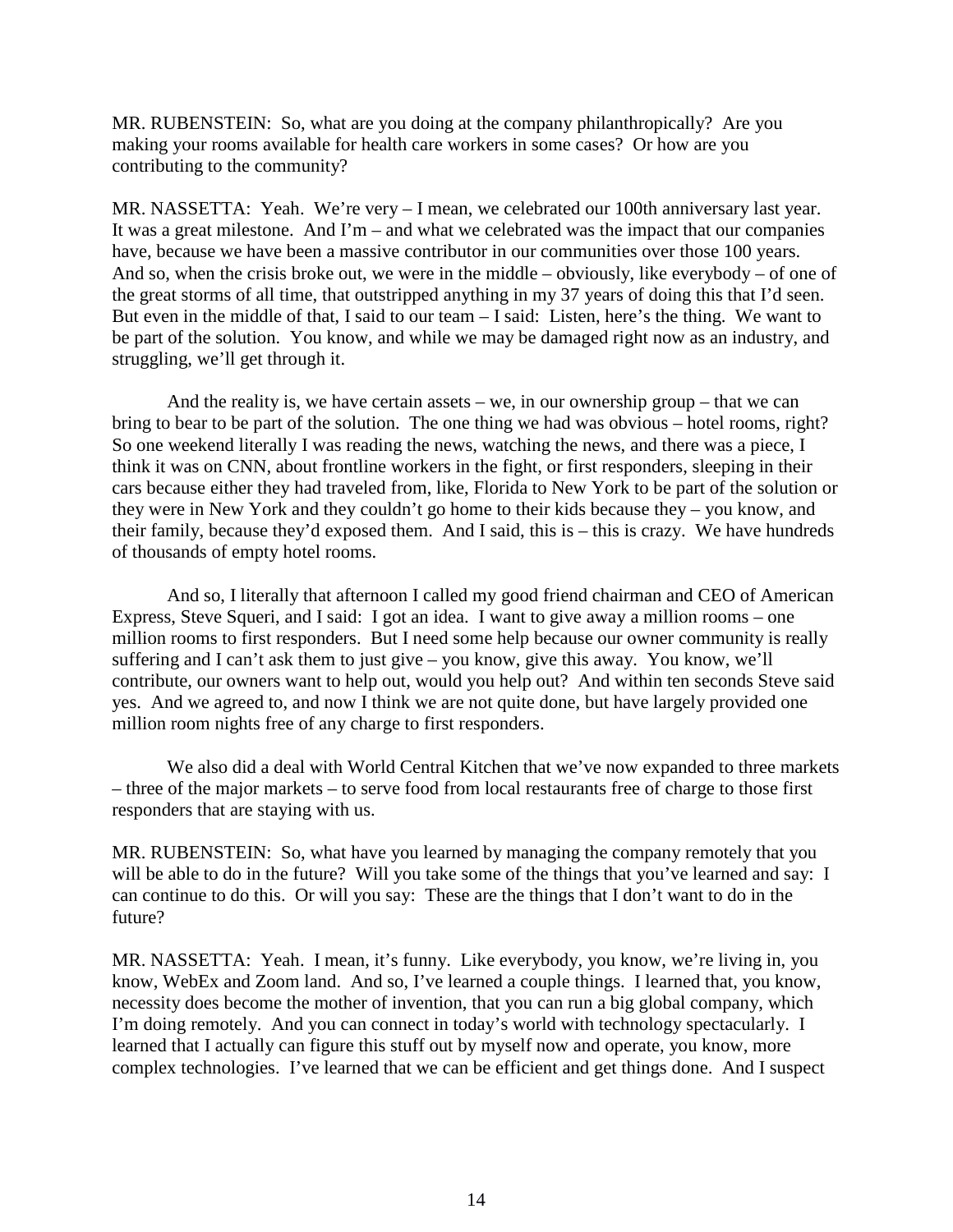MR. RUBENSTEIN: So, what are you doing at the company philanthropically? Are you making your rooms available for health care workers in some cases? Or how are you contributing to the community?

MR. NASSETTA: Yeah. We're very – I mean, we celebrated our 100th anniversary last year. It was a great milestone. And I'm – and what we celebrated was the impact that our companies have, because we have been a massive contributor in our communities over those 100 years. And so, when the crisis broke out, we were in the middle – obviously, like everybody – of one of the great storms of all time, that outstripped anything in my 37 years of doing this that I'd seen. But even in the middle of that, I said to our team – I said: Listen, here's the thing. We want to be part of the solution. You know, and while we may be damaged right now as an industry, and struggling, we'll get through it.

And the reality is, we have certain assets – we, in our ownership group – that we can bring to bear to be part of the solution. The one thing we had was obvious – hotel rooms, right? So one weekend literally I was reading the news, watching the news, and there was a piece, I think it was on CNN, about frontline workers in the fight, or first responders, sleeping in their cars because either they had traveled from, like, Florida to New York to be part of the solution or they were in New York and they couldn't go home to their kids because they – you know, and their family, because they'd exposed them. And I said, this is – this is crazy. We have hundreds of thousands of empty hotel rooms.

And so, I literally that afternoon I called my good friend chairman and CEO of American Express, Steve Squeri, and I said: I got an idea. I want to give away a million rooms – one million rooms to first responders. But I need some help because our owner community is really suffering and I can't ask them to just give – you know, give this away. You know, we'll contribute, our owners want to help out, would you help out? And within ten seconds Steve said yes. And we agreed to, and now I think we are not quite done, but have largely provided one million room nights free of any charge to first responders.

We also did a deal with World Central Kitchen that we've now expanded to three markets – three of the major markets – to serve food from local restaurants free of charge to those first responders that are staying with us.

MR. RUBENSTEIN: So, what have you learned by managing the company remotely that you will be able to do in the future? Will you take some of the things that you've learned and say: I can continue to do this. Or will you say: These are the things that I don't want to do in the future?

MR. NASSETTA: Yeah. I mean, it's funny. Like everybody, you know, we're living in, you know, WebEx and Zoom land. And so, I've learned a couple things. I learned that, you know, necessity does become the mother of invention, that you can run a big global company, which I'm doing remotely. And you can connect in today's world with technology spectacularly. I learned that I actually can figure this stuff out by myself now and operate, you know, more complex technologies. I've learned that we can be efficient and get things done. And I suspect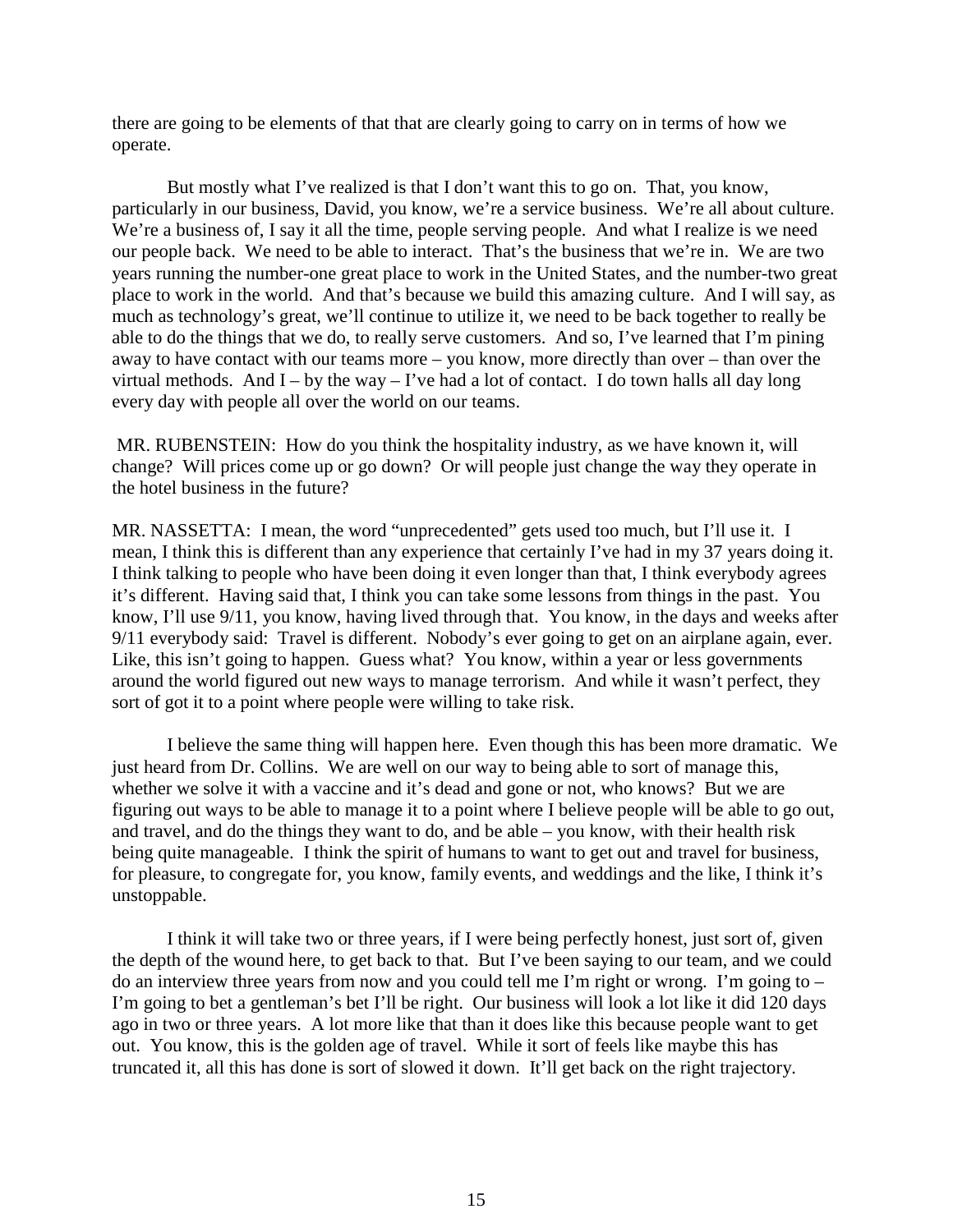there are going to be elements of that that are clearly going to carry on in terms of how we operate.

But mostly what I've realized is that I don't want this to go on. That, you know, particularly in our business, David, you know, we're a service business. We're all about culture. We're a business of, I say it all the time, people serving people. And what I realize is we need our people back. We need to be able to interact. That's the business that we're in. We are two years running the number-one great place to work in the United States, and the number-two great place to work in the world. And that's because we build this amazing culture. And I will say, as much as technology's great, we'll continue to utilize it, we need to be back together to really be able to do the things that we do, to really serve customers. And so, I've learned that I'm pining away to have contact with our teams more – you know, more directly than over – than over the virtual methods. And  $I - by$  the way – I've had a lot of contact. I do town halls all day long every day with people all over the world on our teams.

MR. RUBENSTEIN: How do you think the hospitality industry, as we have known it, will change? Will prices come up or go down? Or will people just change the way they operate in the hotel business in the future?

MR. NASSETTA: I mean, the word "unprecedented" gets used too much, but I'll use it. I mean, I think this is different than any experience that certainly I've had in my 37 years doing it. I think talking to people who have been doing it even longer than that, I think everybody agrees it's different. Having said that, I think you can take some lessons from things in the past. You know, I'll use 9/11, you know, having lived through that. You know, in the days and weeks after 9/11 everybody said: Travel is different. Nobody's ever going to get on an airplane again, ever. Like, this isn't going to happen. Guess what? You know, within a year or less governments around the world figured out new ways to manage terrorism. And while it wasn't perfect, they sort of got it to a point where people were willing to take risk.

I believe the same thing will happen here. Even though this has been more dramatic. We just heard from Dr. Collins. We are well on our way to being able to sort of manage this, whether we solve it with a vaccine and it's dead and gone or not, who knows? But we are figuring out ways to be able to manage it to a point where I believe people will be able to go out, and travel, and do the things they want to do, and be able – you know, with their health risk being quite manageable. I think the spirit of humans to want to get out and travel for business, for pleasure, to congregate for, you know, family events, and weddings and the like, I think it's unstoppable.

I think it will take two or three years, if I were being perfectly honest, just sort of, given the depth of the wound here, to get back to that. But I've been saying to our team, and we could do an interview three years from now and you could tell me I'm right or wrong. I'm going to – I'm going to bet a gentleman's bet I'll be right. Our business will look a lot like it did 120 days ago in two or three years. A lot more like that than it does like this because people want to get out. You know, this is the golden age of travel. While it sort of feels like maybe this has truncated it, all this has done is sort of slowed it down. It'll get back on the right trajectory.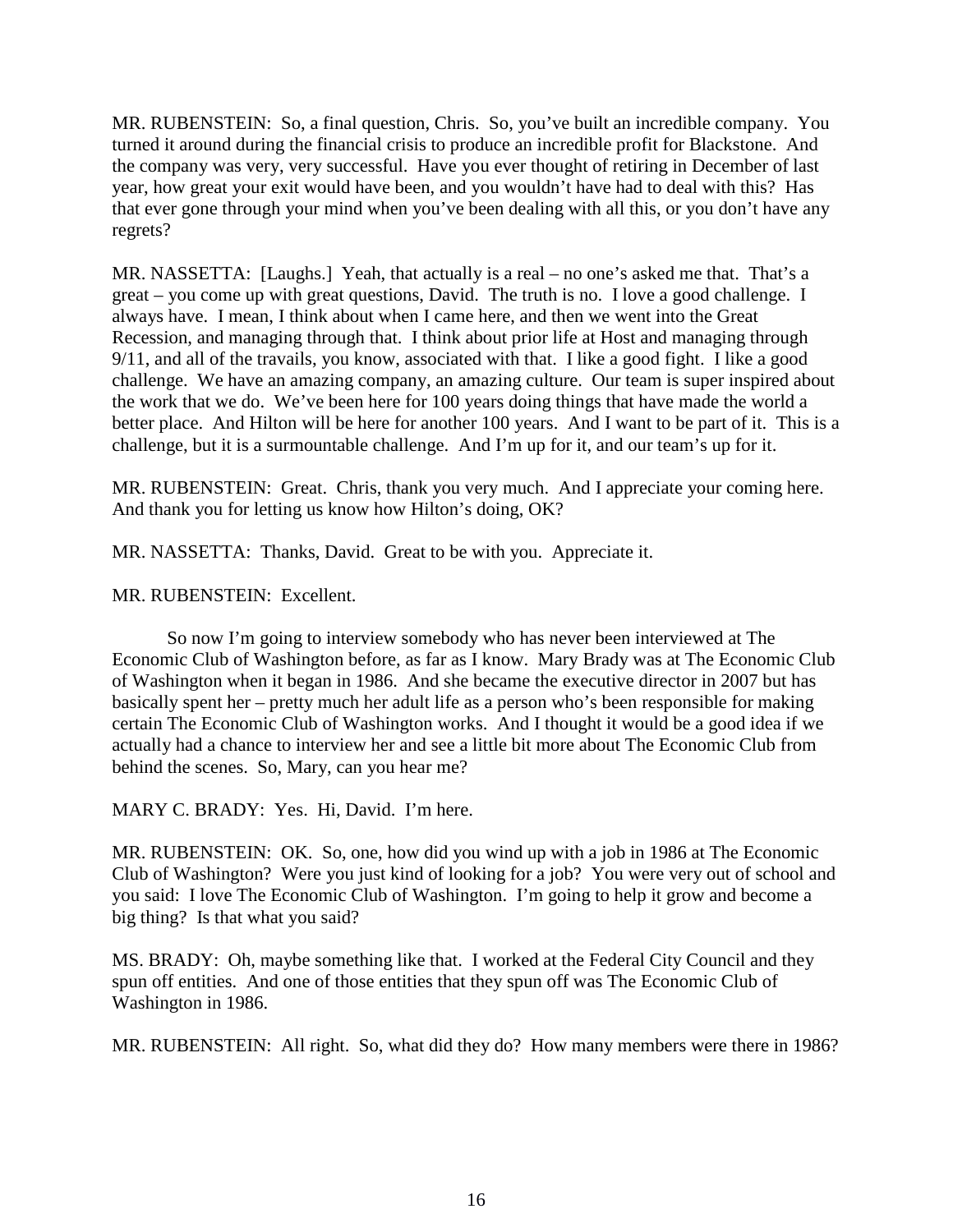MR. RUBENSTEIN: So, a final question, Chris. So, you've built an incredible company. You turned it around during the financial crisis to produce an incredible profit for Blackstone. And the company was very, very successful. Have you ever thought of retiring in December of last year, how great your exit would have been, and you wouldn't have had to deal with this? Has that ever gone through your mind when you've been dealing with all this, or you don't have any regrets?

MR. NASSETTA: [Laughs.] Yeah, that actually is a real – no one's asked me that. That's a great – you come up with great questions, David. The truth is no. I love a good challenge. I always have. I mean, I think about when I came here, and then we went into the Great Recession, and managing through that. I think about prior life at Host and managing through 9/11, and all of the travails, you know, associated with that. I like a good fight. I like a good challenge. We have an amazing company, an amazing culture. Our team is super inspired about the work that we do. We've been here for 100 years doing things that have made the world a better place. And Hilton will be here for another 100 years. And I want to be part of it. This is a challenge, but it is a surmountable challenge. And I'm up for it, and our team's up for it.

MR. RUBENSTEIN: Great. Chris, thank you very much. And I appreciate your coming here. And thank you for letting us know how Hilton's doing, OK?

MR. NASSETTA: Thanks, David. Great to be with you. Appreciate it.

MR. RUBENSTEIN: Excellent.

So now I'm going to interview somebody who has never been interviewed at The Economic Club of Washington before, as far as I know. Mary Brady was at The Economic Club of Washington when it began in 1986. And she became the executive director in 2007 but has basically spent her – pretty much her adult life as a person who's been responsible for making certain The Economic Club of Washington works. And I thought it would be a good idea if we actually had a chance to interview her and see a little bit more about The Economic Club from behind the scenes. So, Mary, can you hear me?

MARY C. BRADY: Yes. Hi, David. I'm here.

MR. RUBENSTEIN: OK. So, one, how did you wind up with a job in 1986 at The Economic Club of Washington? Were you just kind of looking for a job? You were very out of school and you said: I love The Economic Club of Washington. I'm going to help it grow and become a big thing? Is that what you said?

MS. BRADY: Oh, maybe something like that. I worked at the Federal City Council and they spun off entities. And one of those entities that they spun off was The Economic Club of Washington in 1986.

MR. RUBENSTEIN: All right. So, what did they do? How many members were there in 1986?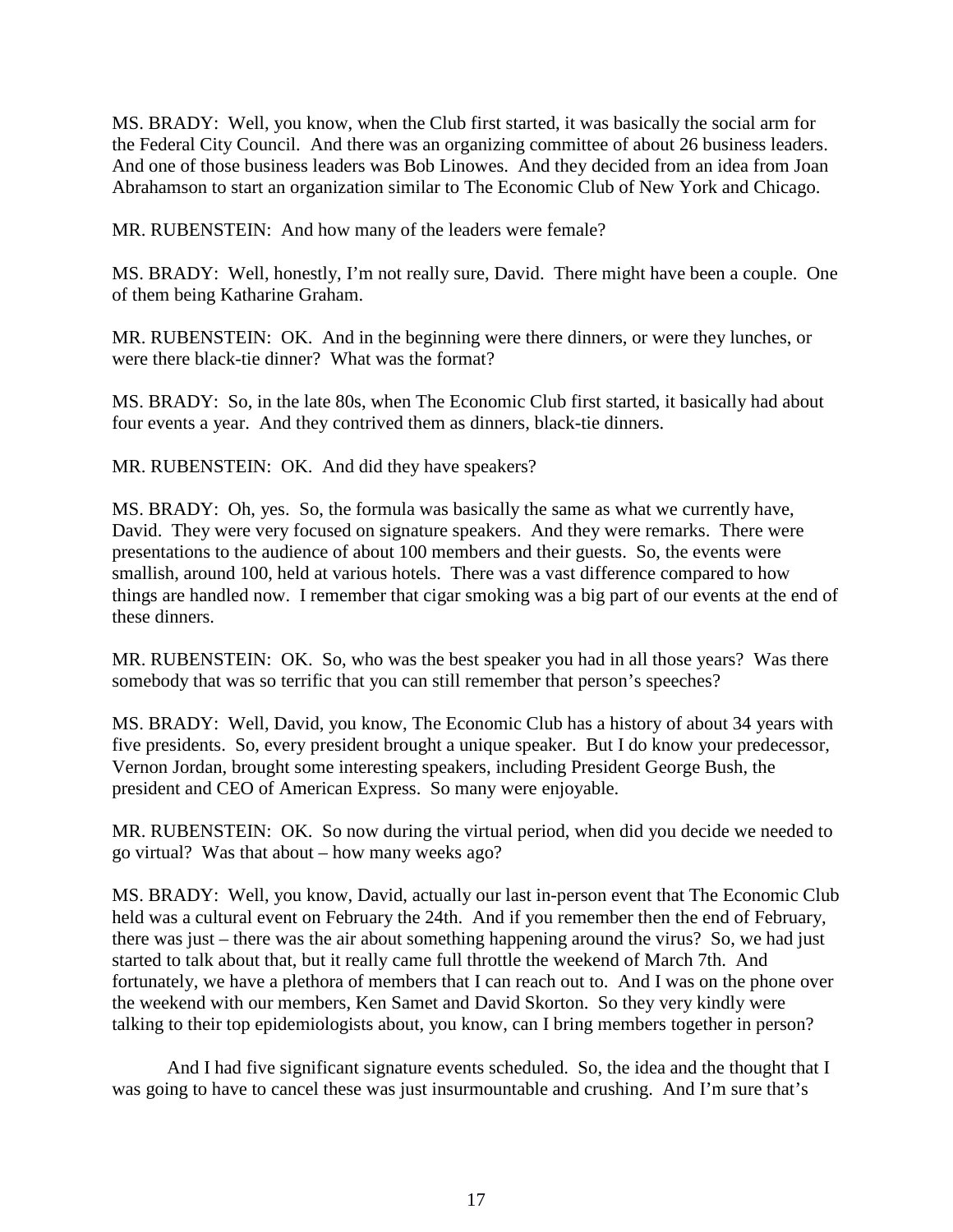MS. BRADY: Well, you know, when the Club first started, it was basically the social arm for the Federal City Council. And there was an organizing committee of about 26 business leaders. And one of those business leaders was Bob Linowes. And they decided from an idea from Joan Abrahamson to start an organization similar to The Economic Club of New York and Chicago.

MR. RUBENSTEIN: And how many of the leaders were female?

MS. BRADY: Well, honestly, I'm not really sure, David. There might have been a couple. One of them being Katharine Graham.

MR. RUBENSTEIN: OK. And in the beginning were there dinners, or were they lunches, or were there black-tie dinner? What was the format?

MS. BRADY: So, in the late 80s, when The Economic Club first started, it basically had about four events a year. And they contrived them as dinners, black-tie dinners.

MR. RUBENSTEIN: OK. And did they have speakers?

MS. BRADY: Oh, yes. So, the formula was basically the same as what we currently have, David. They were very focused on signature speakers. And they were remarks. There were presentations to the audience of about 100 members and their guests. So, the events were smallish, around 100, held at various hotels. There was a vast difference compared to how things are handled now. I remember that cigar smoking was a big part of our events at the end of these dinners.

MR. RUBENSTEIN: OK. So, who was the best speaker you had in all those years? Was there somebody that was so terrific that you can still remember that person's speeches?

MS. BRADY: Well, David, you know, The Economic Club has a history of about 34 years with five presidents. So, every president brought a unique speaker. But I do know your predecessor, Vernon Jordan, brought some interesting speakers, including President George Bush, the president and CEO of American Express. So many were enjoyable.

MR. RUBENSTEIN: OK. So now during the virtual period, when did you decide we needed to go virtual? Was that about – how many weeks ago?

MS. BRADY: Well, you know, David, actually our last in-person event that The Economic Club held was a cultural event on February the 24th. And if you remember then the end of February, there was just – there was the air about something happening around the virus? So, we had just started to talk about that, but it really came full throttle the weekend of March 7th. And fortunately, we have a plethora of members that I can reach out to. And I was on the phone over the weekend with our members, Ken Samet and David Skorton. So they very kindly were talking to their top epidemiologists about, you know, can I bring members together in person?

And I had five significant signature events scheduled. So, the idea and the thought that I was going to have to cancel these was just insurmountable and crushing. And I'm sure that's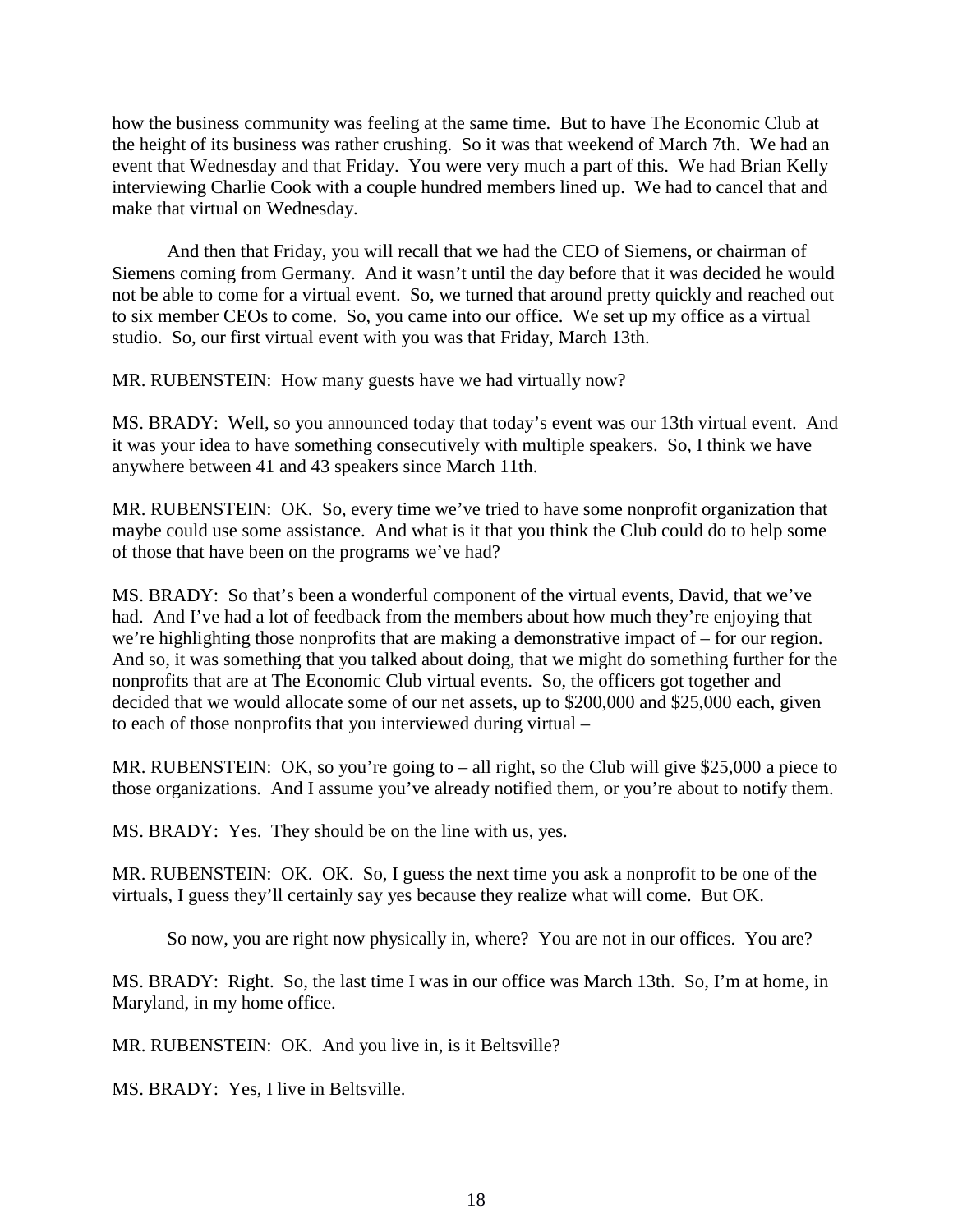how the business community was feeling at the same time. But to have The Economic Club at the height of its business was rather crushing. So it was that weekend of March 7th. We had an event that Wednesday and that Friday. You were very much a part of this. We had Brian Kelly interviewing Charlie Cook with a couple hundred members lined up. We had to cancel that and make that virtual on Wednesday.

And then that Friday, you will recall that we had the CEO of Siemens, or chairman of Siemens coming from Germany. And it wasn't until the day before that it was decided he would not be able to come for a virtual event. So, we turned that around pretty quickly and reached out to six member CEOs to come. So, you came into our office. We set up my office as a virtual studio. So, our first virtual event with you was that Friday, March 13th.

MR. RUBENSTEIN: How many guests have we had virtually now?

MS. BRADY: Well, so you announced today that today's event was our 13th virtual event. And it was your idea to have something consecutively with multiple speakers. So, I think we have anywhere between 41 and 43 speakers since March 11th.

MR. RUBENSTEIN: OK. So, every time we've tried to have some nonprofit organization that maybe could use some assistance. And what is it that you think the Club could do to help some of those that have been on the programs we've had?

MS. BRADY: So that's been a wonderful component of the virtual events, David, that we've had. And I've had a lot of feedback from the members about how much they're enjoying that we're highlighting those nonprofits that are making a demonstrative impact of – for our region. And so, it was something that you talked about doing, that we might do something further for the nonprofits that are at The Economic Club virtual events. So, the officers got together and decided that we would allocate some of our net assets, up to \$200,000 and \$25,000 each, given to each of those nonprofits that you interviewed during virtual –

MR. RUBENSTEIN: OK, so you're going to – all right, so the Club will give \$25,000 a piece to those organizations. And I assume you've already notified them, or you're about to notify them.

MS. BRADY: Yes. They should be on the line with us, yes.

MR. RUBENSTEIN: OK. OK. So, I guess the next time you ask a nonprofit to be one of the virtuals, I guess they'll certainly say yes because they realize what will come. But OK.

So now, you are right now physically in, where? You are not in our offices. You are?

MS. BRADY: Right. So, the last time I was in our office was March 13th. So, I'm at home, in Maryland, in my home office.

MR. RUBENSTEIN: OK. And you live in, is it Beltsville?

MS. BRADY: Yes, I live in Beltsville.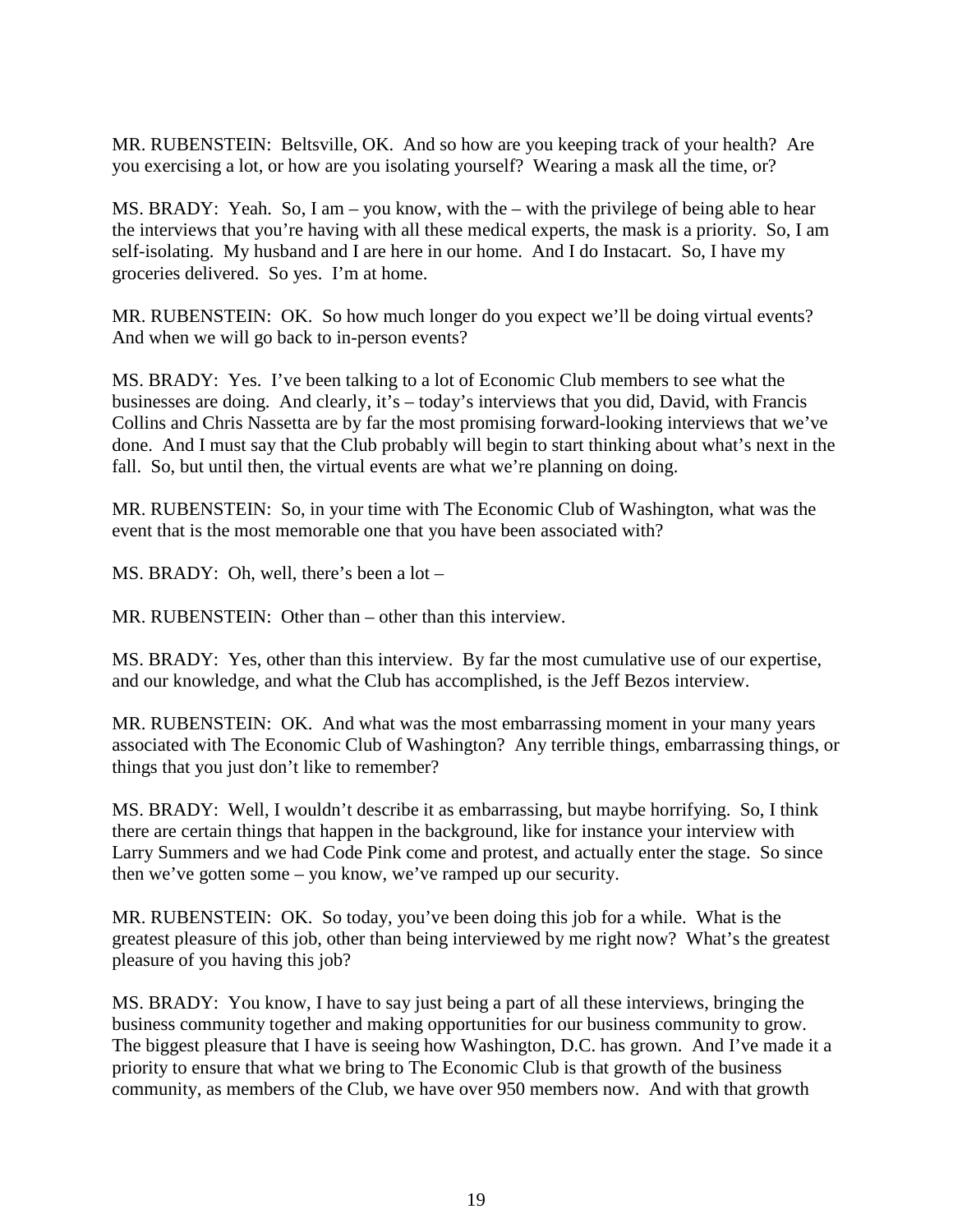MR. RUBENSTEIN: Beltsville, OK. And so how are you keeping track of your health? Are you exercising a lot, or how are you isolating yourself? Wearing a mask all the time, or?

MS. BRADY: Yeah. So, I am – you know, with the – with the privilege of being able to hear the interviews that you're having with all these medical experts, the mask is a priority. So, I am self-isolating. My husband and I are here in our home. And I do Instacart. So, I have my groceries delivered. So yes. I'm at home.

MR. RUBENSTEIN: OK. So how much longer do you expect we'll be doing virtual events? And when we will go back to in-person events?

MS. BRADY: Yes. I've been talking to a lot of Economic Club members to see what the businesses are doing. And clearly, it's – today's interviews that you did, David, with Francis Collins and Chris Nassetta are by far the most promising forward-looking interviews that we've done. And I must say that the Club probably will begin to start thinking about what's next in the fall. So, but until then, the virtual events are what we're planning on doing.

MR. RUBENSTEIN: So, in your time with The Economic Club of Washington, what was the event that is the most memorable one that you have been associated with?

MS. BRADY: Oh, well, there's been a lot –

MR. RUBENSTEIN: Other than – other than this interview.

MS. BRADY: Yes, other than this interview. By far the most cumulative use of our expertise, and our knowledge, and what the Club has accomplished, is the Jeff Bezos interview.

MR. RUBENSTEIN: OK. And what was the most embarrassing moment in your many years associated with The Economic Club of Washington? Any terrible things, embarrassing things, or things that you just don't like to remember?

MS. BRADY: Well, I wouldn't describe it as embarrassing, but maybe horrifying. So, I think there are certain things that happen in the background, like for instance your interview with Larry Summers and we had Code Pink come and protest, and actually enter the stage. So since then we've gotten some – you know, we've ramped up our security.

MR. RUBENSTEIN: OK. So today, you've been doing this job for a while. What is the greatest pleasure of this job, other than being interviewed by me right now? What's the greatest pleasure of you having this job?

MS. BRADY: You know, I have to say just being a part of all these interviews, bringing the business community together and making opportunities for our business community to grow. The biggest pleasure that I have is seeing how Washington, D.C. has grown. And I've made it a priority to ensure that what we bring to The Economic Club is that growth of the business community, as members of the Club, we have over 950 members now. And with that growth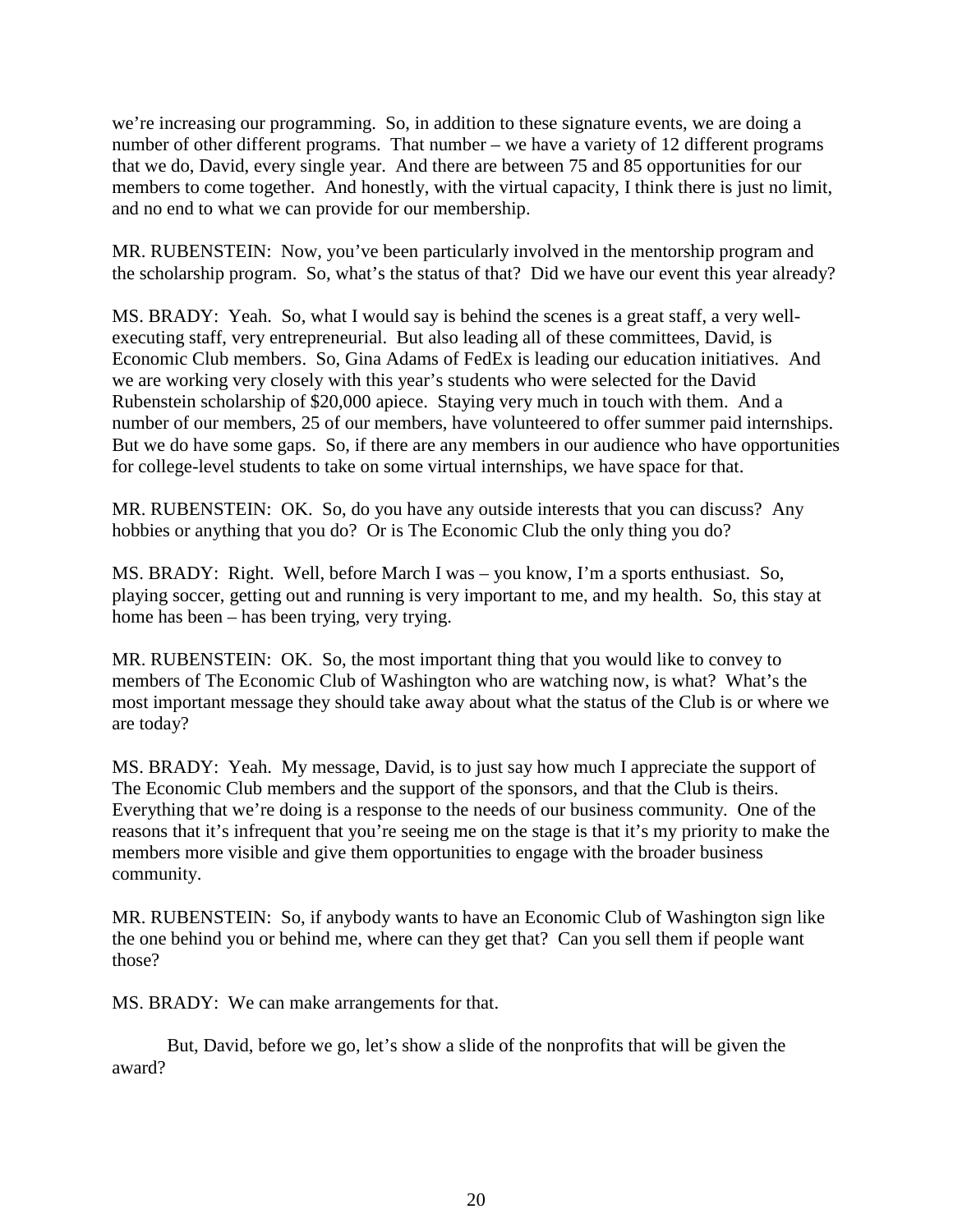we're increasing our programming. So, in addition to these signature events, we are doing a number of other different programs. That number – we have a variety of 12 different programs that we do, David, every single year. And there are between 75 and 85 opportunities for our members to come together. And honestly, with the virtual capacity, I think there is just no limit, and no end to what we can provide for our membership.

MR. RUBENSTEIN: Now, you've been particularly involved in the mentorship program and the scholarship program. So, what's the status of that? Did we have our event this year already?

MS. BRADY: Yeah. So, what I would say is behind the scenes is a great staff, a very wellexecuting staff, very entrepreneurial. But also leading all of these committees, David, is Economic Club members. So, Gina Adams of FedEx is leading our education initiatives. And we are working very closely with this year's students who were selected for the David Rubenstein scholarship of \$20,000 apiece. Staying very much in touch with them. And a number of our members, 25 of our members, have volunteered to offer summer paid internships. But we do have some gaps. So, if there are any members in our audience who have opportunities for college-level students to take on some virtual internships, we have space for that.

MR. RUBENSTEIN: OK. So, do you have any outside interests that you can discuss? Any hobbies or anything that you do? Or is The Economic Club the only thing you do?

MS. BRADY: Right. Well, before March I was – you know, I'm a sports enthusiast. So, playing soccer, getting out and running is very important to me, and my health. So, this stay at home has been – has been trying, very trying.

MR. RUBENSTEIN: OK. So, the most important thing that you would like to convey to members of The Economic Club of Washington who are watching now, is what? What's the most important message they should take away about what the status of the Club is or where we are today?

MS. BRADY: Yeah. My message, David, is to just say how much I appreciate the support of The Economic Club members and the support of the sponsors, and that the Club is theirs. Everything that we're doing is a response to the needs of our business community. One of the reasons that it's infrequent that you're seeing me on the stage is that it's my priority to make the members more visible and give them opportunities to engage with the broader business community.

MR. RUBENSTEIN: So, if anybody wants to have an Economic Club of Washington sign like the one behind you or behind me, where can they get that? Can you sell them if people want those?

MS. BRADY: We can make arrangements for that.

But, David, before we go, let's show a slide of the nonprofits that will be given the award?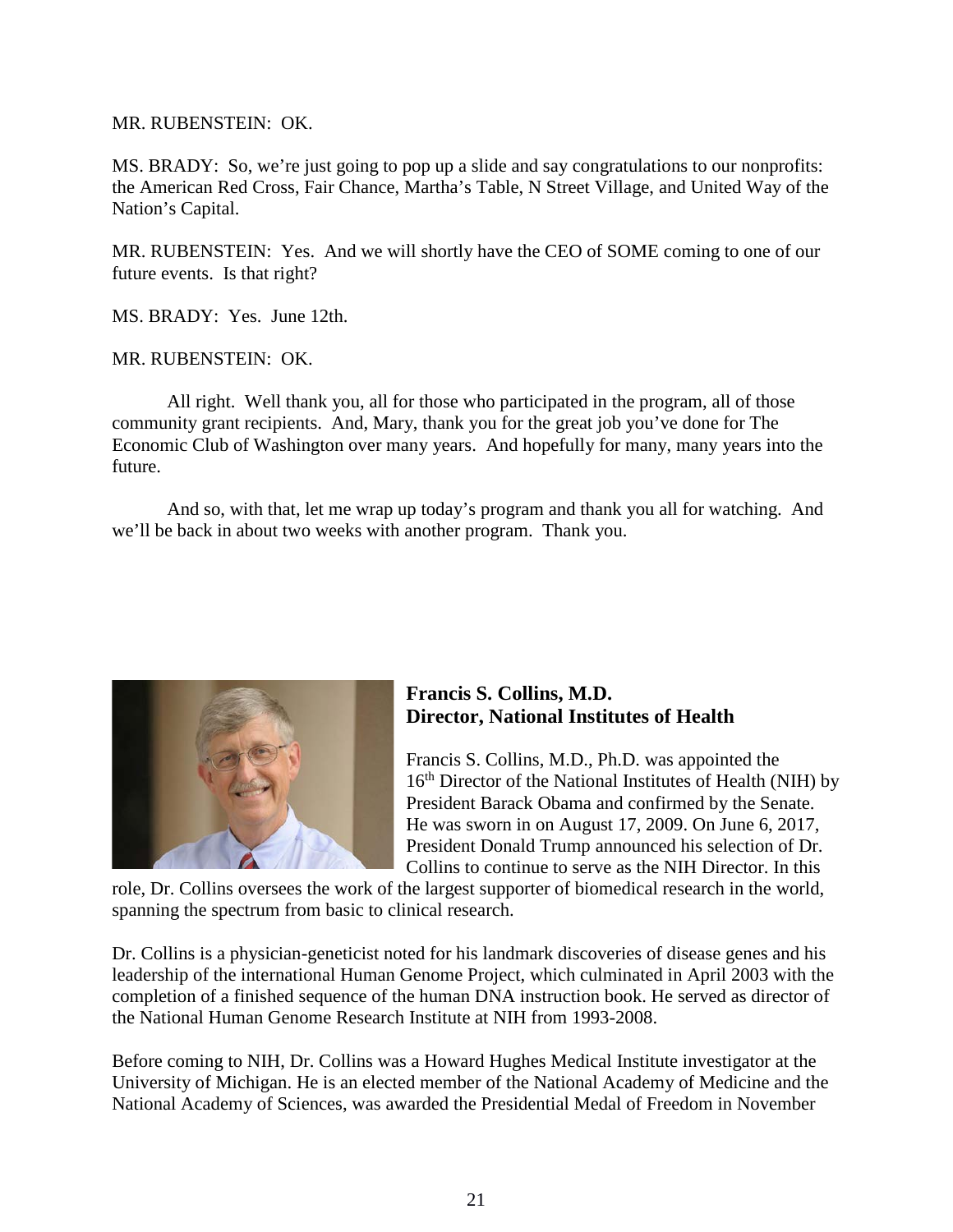MR. RUBENSTEIN: OK.

MS. BRADY: So, we're just going to pop up a slide and say congratulations to our nonprofits: the American Red Cross, Fair Chance, Martha's Table, N Street Village, and United Way of the Nation's Capital.

MR. RUBENSTEIN: Yes. And we will shortly have the CEO of SOME coming to one of our future events. Is that right?

MS. BRADY: Yes. June 12th.

MR. RUBENSTEIN: OK.

All right. Well thank you, all for those who participated in the program, all of those community grant recipients. And, Mary, thank you for the great job you've done for The Economic Club of Washington over many years. And hopefully for many, many years into the future.

And so, with that, let me wrap up today's program and thank you all for watching. And we'll be back in about two weeks with another program. Thank you.



## **Francis S. Collins, M.D. Director, National Institutes of Health**

Francis S. Collins, M.D., Ph.D. was appointed the 16<sup>th</sup> Director of the National Institutes of Health (NIH) by President Barack Obama and confirmed by the Senate. He was sworn in on August 17, 2009. On June 6, 2017, President Donald Trump announced his selection of Dr. Collins to continue to serve as the NIH Director. In this

role, Dr. Collins oversees the work of the largest supporter of biomedical research in the world, spanning the spectrum from basic to clinical research.

Dr. Collins is a physician-geneticist noted for his landmark discoveries of disease genes and his leadership of the international Human Genome Project, which culminated in April 2003 with the completion of a finished sequence of the human DNA instruction book. He served as director of the National Human Genome Research Institute at NIH from 1993-2008.

Before coming to NIH, Dr. Collins was a Howard Hughes Medical Institute investigator at the University of Michigan. He is an elected member of the National Academy of Medicine and the National Academy of Sciences, was awarded the Presidential Medal of Freedom in November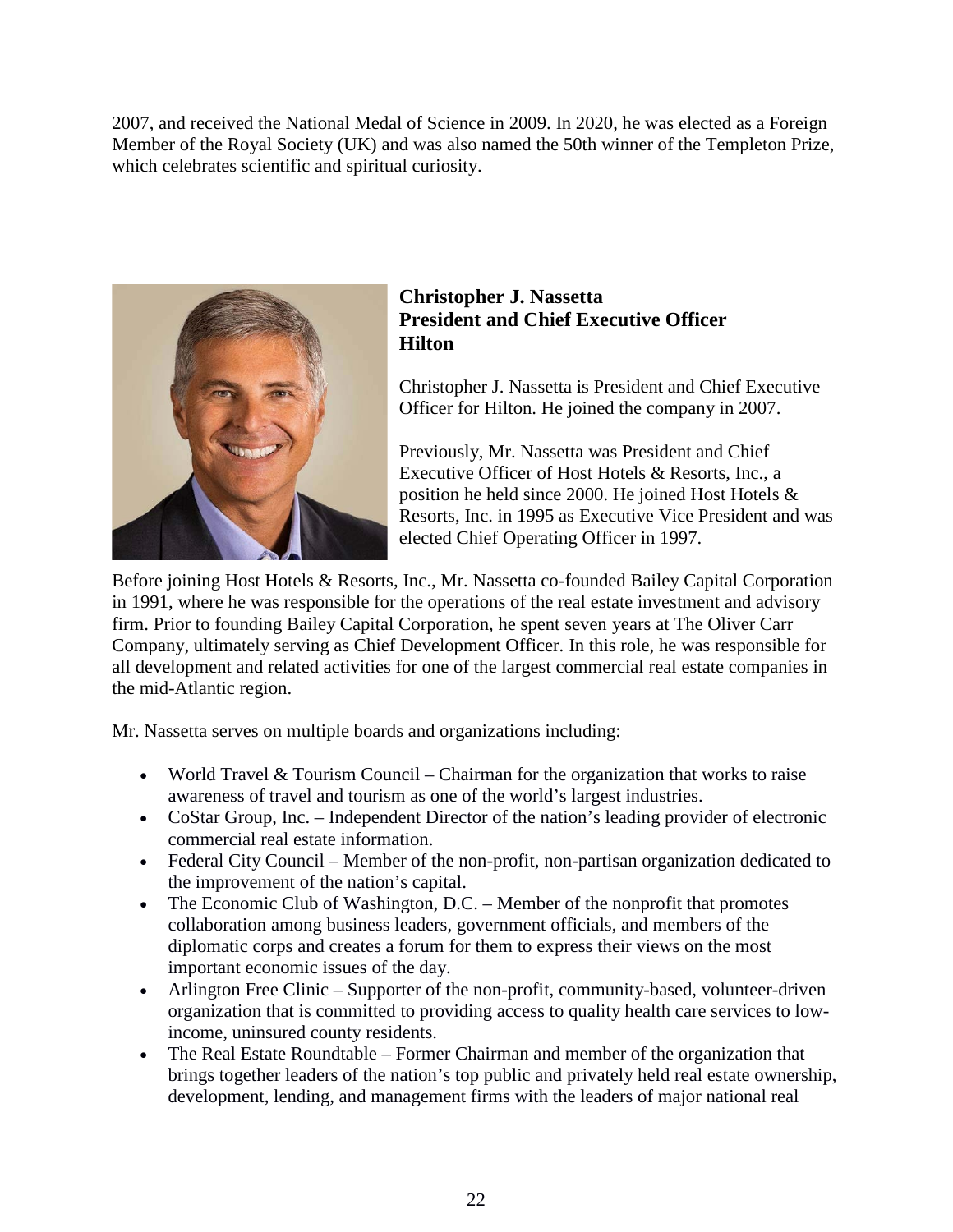2007, and received the National Medal of Science in 2009. In 2020, he was elected as a Foreign Member of the Royal Society (UK) and was also named the 50th winner of the Templeton Prize, which celebrates scientific and spiritual curiosity.



## **Christopher J. Nassetta President and Chief Executive Officer Hilton**

Christopher J. Nassetta is President and Chief Executive Officer for Hilton. He joined the company in 2007.

Previously, Mr. Nassetta was President and Chief Executive Officer of Host Hotels & Resorts, Inc., a position he held since 2000. He joined Host Hotels & Resorts, Inc. in 1995 as Executive Vice President and was elected Chief Operating Officer in 1997.

Before joining Host Hotels & Resorts, Inc., Mr. Nassetta co-founded Bailey Capital Corporation in 1991, where he was responsible for the operations of the real estate investment and advisory firm. Prior to founding Bailey Capital Corporation, he spent seven years at The Oliver Carr Company, ultimately serving as Chief Development Officer. In this role, he was responsible for all development and related activities for one of the largest commercial real estate companies in the mid-Atlantic region.

Mr. Nassetta serves on multiple boards and organizations including:

- World Travel & Tourism Council Chairman for the organization that works to raise awareness of travel and tourism as one of the world's largest industries.
- CoStar Group, Inc. Independent Director of the nation's leading provider of electronic commercial real estate information.
- Federal City Council Member of the non-profit, non-partisan organization dedicated to the improvement of the nation's capital.
- The Economic Club of Washington, D.C. Member of the nonprofit that promotes collaboration among business leaders, government officials, and members of the diplomatic corps and creates a forum for them to express their views on the most important economic issues of the day.
- Arlington Free Clinic Supporter of the non-profit, community-based, volunteer-driven organization that is committed to providing access to quality health care services to lowincome, uninsured county residents.
- The Real Estate Roundtable Former Chairman and member of the organization that brings together leaders of the nation's top public and privately held real estate ownership, development, lending, and management firms with the leaders of major national real